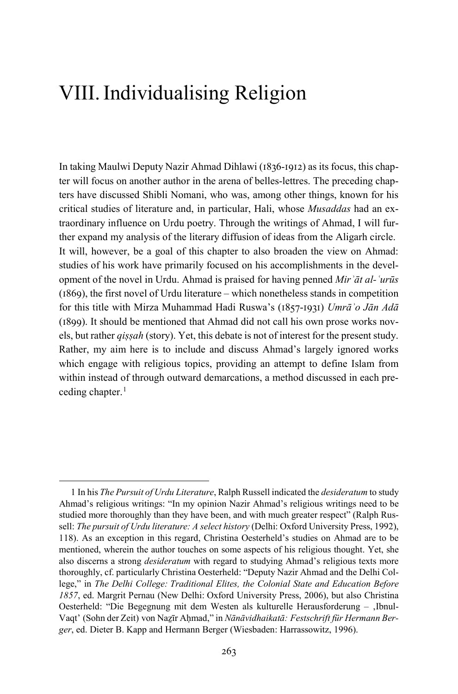In taking Maulwi Deputy Nazir Ahmad Dihlawi (1836-1912) as its focus, this chapter will focus on another author in the arena of belles-lettres. The preceding chapters have discussed Shibli Nomani, who was, among other things, known for his critical studies of literature and, in particular, Hali, whose *Musaddas* had an extraordinary influence on Urdu poetry. Through the writings of Ahmad, I will further expand my analysis of the literary diffusion of ideas from the Aligarh circle. It will, however, be a goal of this chapter to also broaden the view on Ahmad: studies of his work have primarily focused on his accomplishments in the development of the novel in Urdu. Ahmad is praised for having penned *Mirʾāt al-ʿurūs*  (1869), the first novel of Urdu literature – which nonetheless stands in competition for this title with Mirza Muhammad Hadi Ruswa's (1857-1931) *Umrāʾo Jān Adā*  (1899). It should be mentioned that Ahmad did not call his own prose works novels, but rather *qiṣṣah* (story). Yet, this debate is not of interest for the present study. Rather, my aim here is to include and discuss Ahmad's largely ignored works which engage with religious topics, providing an attempt to define Islam from within instead of through outward demarcations, a method discussed in each preceding chapter. $<sup>1</sup>$  $<sup>1</sup>$  $<sup>1</sup>$ </sup>

<span id="page-0-0"></span><sup>1</sup> In his *The Pursuit of Urdu Literature*, Ralph Russell indicated the *desideratum* to study Ahmad's religious writings: "In my opinion Nazir Ahmad's religious writings need to be studied more thoroughly than they have been, and with much greater respect" (Ralph Russell: *The pursuit of Urdu literature: A select history* (Delhi: Oxford University Press, 1992), 118). As an exception in this regard, Christina Oesterheld's studies on Ahmad are to be mentioned, wherein the author touches on some aspects of his religious thought. Yet, she also discerns a strong *desideratum* with regard to studying Ahmad's religious texts more thoroughly, cf. particularly Christina Oesterheld: "Deputy Nazir Ahmad and the Delhi College," in *The Delhi College: Traditional Elites, the Colonial State and Education Before 1857*, ed. Margrit Pernau (New Delhi: Oxford University Press, 2006), but also Christina Oesterheld: "Die Begegnung mit dem Westen als kulturelle Herausforderung - ,Ibnul-Vaqt' (Sohn der Zeit) von Naẕīr Aḥmad," in *Nānāvidhaikatā: Festschrift für Hermann Berger*, ed. Dieter B. Kapp and Hermann Berger (Wiesbaden: Harrassowitz, 1996).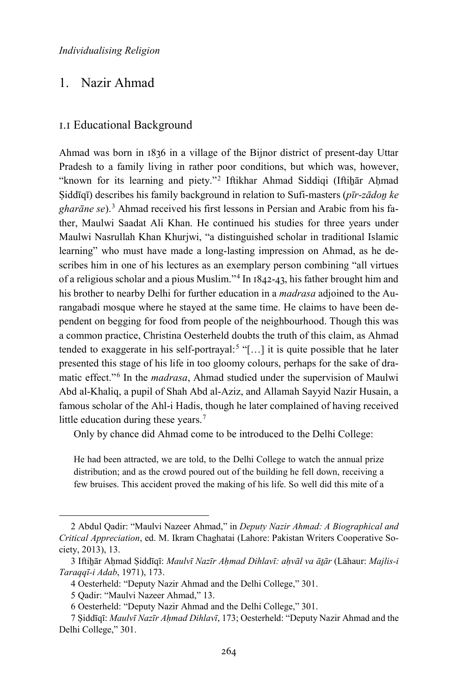## 1. Nazir Ahmad

### 1.1 Educational Background

Ahmad was born in 1836 in a village of the Bijnor district of present-day Uttar Pradesh to a family living in rather poor conditions, but which was, however, "known for its learning and piety."<sup>[2](#page-1-0)</sup> Iftikhar Ahmad Siddiqi (Iftihar Ahmad Ṣiddīqī) describes his family background in relation to Sufi-masters (*pīr-zādoṉ ke gharāne se*).[3](#page-1-1) Ahmad received his first lessons in Persian and Arabic from his father, Maulwi Saadat Ali Khan. He continued his studies for three years under Maulwi Nasrullah Khan Khurjwi, "a distinguished scholar in traditional Islamic learning" who must have made a long-lasting impression on Ahmad, as he describes him in one of his lectures as an exemplary person combining "all virtues of a religious scholar and a pious Muslim."[4](#page-1-2) In 1842-43, his father brought him and his brother to nearby Delhi for further education in a *madrasa* adjoined to the Aurangabadi mosque where he stayed at the same time. He claims to have been dependent on begging for food from people of the neighbourhood. Though this was a common practice, Christina Oesterheld doubts the truth of this claim, as Ahmad tended to exaggerate in his self-portrayal:<sup>[5](#page-1-3)</sup> "[...] it is quite possible that he later presented this stage of his life in too gloomy colours, perhaps for the sake of dramatic effect."[6](#page-1-4) In the *madrasa*, Ahmad studied under the supervision of Maulwi Abd al-Khaliq, a pupil of Shah Abd al-Aziz, and Allamah Sayyid Nazir Husain, a famous scholar of the Ahl-i Hadis, though he later complained of having received little education during these years.<sup>[7](#page-1-5)</sup>

Only by chance did Ahmad come to be introduced to the Delhi College:

He had been attracted, we are told, to the Delhi College to watch the annual prize distribution; and as the crowd poured out of the building he fell down, receiving a few bruises. This accident proved the making of his life. So well did this mite of a

<span id="page-1-0"></span><sup>2</sup> Abdul Qadir: "Maulvi Nazeer Ahmad," in *Deputy Nazir Ahmad: A Biographical and Critical Appreciation*, ed. M. Ikram Chaghatai (Lahore: Pakistan Writers Cooperative Society, 2013), 13.

<span id="page-1-2"></span><span id="page-1-1"></span><sup>3</sup> Iftiẖār Aḥmad Ṣiddīqī: *Maulvī Nazīr Aḥmad Dihlavī: aḥvāl va āṯār* (Lāhaur: *Majlis-i Taraqqī-i Adab*, 1971), 173.

<sup>4</sup> Oesterheld: "Deputy Nazir Ahmad and the Delhi College," 301.

<sup>5</sup> Qadir: "Maulvi Nazeer Ahmad," 13.

<sup>6</sup> Oesterheld: "Deputy Nazir Ahmad and the Delhi College," 301.

<span id="page-1-5"></span><span id="page-1-4"></span><span id="page-1-3"></span><sup>7</sup> Ṣiddīqī: *Maulvī Nazīr Aḥmad Dihlavī*, 173; Oesterheld: "Deputy Nazir Ahmad and the Delhi College," 301.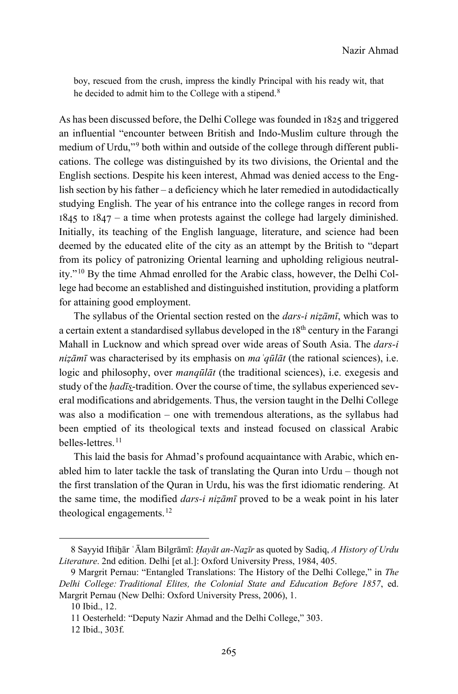boy, rescued from the crush, impress the kindly Principal with his ready wit, that he decided to admit him to the College with a stipend.<sup>[8](#page-2-0)</sup>

As has been discussed before, the Delhi College was founded in 1825 and triggered an influential "encounter between British and Indo-Muslim culture through the medium of Urdu,"[9](#page-2-1) both within and outside of the college through different publications. The college was distinguished by its two divisions, the Oriental and the English sections. Despite his keen interest, Ahmad was denied access to the English section by his father – a deficiency which he later remedied in autodidactically studying English. The year of his entrance into the college ranges in record from  $1845$  to  $1847 - a$  time when protests against the college had largely diminished. Initially, its teaching of the English language, literature, and science had been deemed by the educated elite of the city as an attempt by the British to "depart from its policy of patronizing Oriental learning and upholding religious neutrality."[10](#page-2-2) By the time Ahmad enrolled for the Arabic class, however, the Delhi College had become an established and distinguished institution, providing a platform for attaining good employment.

The syllabus of the Oriental section rested on the *dars-i niẓāmī*, which was to a certain extent a standardised syllabus developed in the  $18<sup>th</sup>$  century in the Farangi Mahall in Lucknow and which spread over wide areas of South Asia. The *dars-i niẓāmī* was characterised by its emphasis on *maʿqūlāt* (the rational sciences), i.e. logic and philosophy, over *manqūlāt* (the traditional sciences), i.e. exegesis and study of the *hadīs*-tradition. Over the course of time, the syllabus experienced several modifications and abridgements. Thus, the version taught in the Delhi College was also a modification – one with tremendous alterations, as the syllabus had been emptied of its theological texts and instead focused on classical Arabic belles-lettres.[11](#page-2-3)

This laid the basis for Ahmad's profound acquaintance with Arabic, which enabled him to later tackle the task of translating the Quran into Urdu – though not the first translation of the Quran in Urdu, his was the first idiomatic rendering. At the same time, the modified *dars-i niẓāmī* proved to be a weak point in his later theological engagements.<sup>[12](#page-2-4)</sup>

<span id="page-2-0"></span><sup>8</sup> Sayyid Iftihār ʿĀlam Bilgrāmī: *Hayāt an-Nazīr* as quoted by Sadiq, *A History of Urdu Literature*. 2nd edition. Delhi [et al.]: Oxford University Press, 1984, 405.

<span id="page-2-2"></span><span id="page-2-1"></span><sup>9</sup> Margrit Pernau: "Entangled Translations: The History of the Delhi College," in *The Delhi College: Traditional Elites, the Colonial State and Education Before 1857*, ed. Margrit Pernau (New Delhi: Oxford University Press, 2006), 1.

<sup>10</sup> Ibid., 12.

<span id="page-2-3"></span><sup>11</sup> Oesterheld: "Deputy Nazir Ahmad and the Delhi College," 303.

<span id="page-2-4"></span><sup>12</sup> Ibid., 303f.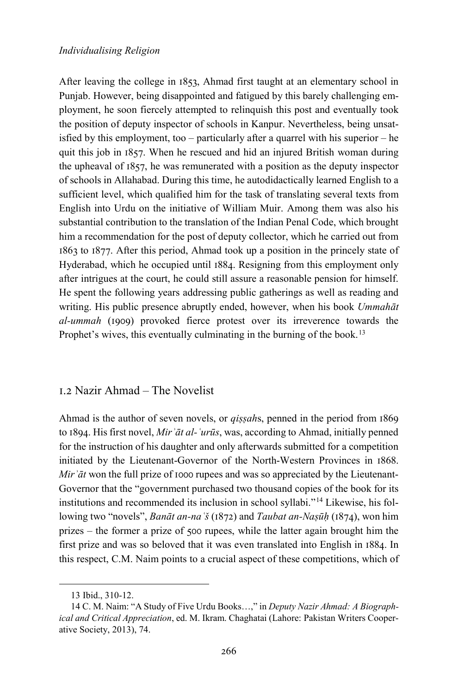After leaving the college in 1853, Ahmad first taught at an elementary school in Punjab. However, being disappointed and fatigued by this barely challenging employment, he soon fiercely attempted to relinquish this post and eventually took the position of deputy inspector of schools in Kanpur. Nevertheless, being unsatisfied by this employment, too – particularly after a quarrel with his superior – he quit this job in 1857. When he rescued and hid an injured British woman during the upheaval of 1857, he was remunerated with a position as the deputy inspector of schools in Allahabad. During this time, he autodidactically learned English to a sufficient level, which qualified him for the task of translating several texts from English into Urdu on the initiative of William Muir. Among them was also his substantial contribution to the translation of the Indian Penal Code, which brought him a recommendation for the post of deputy collector, which he carried out from 1863 to 1877. After this period, Ahmad took up a position in the princely state of Hyderabad, which he occupied until 1884. Resigning from this employment only after intrigues at the court, he could still assure a reasonable pension for himself. He spent the following years addressing public gatherings as well as reading and writing. His public presence abruptly ended, however, when his book *Ummahāt al-ummah* (1909) provoked fierce protest over its irreverence towards the Prophet's wives, this eventually culminating in the burning of the book.<sup>[13](#page-3-0)</sup>

### 1.2 Nazir Ahmad – The Novelist

Ahmad is the author of seven novels, or *qiṣṣah*s, penned in the period from 1869 to 1894. His first novel, *Mirʾāt al-ʿurūs*, was, according to Ahmad, initially penned for the instruction of his daughter and only afterwards submitted for a competition initiated by the Lieutenant-Governor of the North-Western Provinces in 1868. *Mir*  $\tilde{a}$ *t* won the full prize of 1000 rupees and was so appreciated by the Lieutenant-Governor that the "government purchased two thousand copies of the book for its institutions and recommended its inclusion in school syllabi."[14](#page-3-1) Likewise, his following two "novels", *Banāt an-naʿš* (1872) and *Taubat an-Naṣūḥ* (1874), won him prizes – the former a prize of 500 rupees, while the latter again brought him the first prize and was so beloved that it was even translated into English in 1884. In this respect, C.M. Naim points to a crucial aspect of these competitions, which of

<sup>13</sup> Ibid., 310-12.

<span id="page-3-1"></span><span id="page-3-0"></span><sup>14</sup> C. M. Naim: "A Study of Five Urdu Books…," in *Deputy Nazir Ahmad: A Biographical and Critical Appreciation*, ed. M. Ikram. Chaghatai (Lahore: Pakistan Writers Cooperative Society, 2013), 74.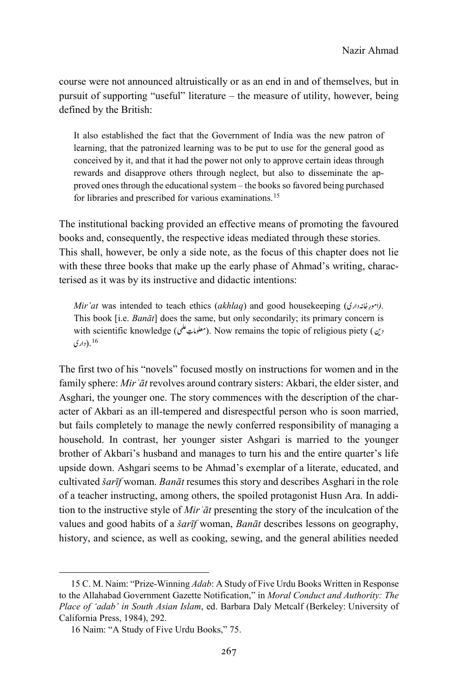course were not announced altruistically or as an end in and of themselves, but in pursuit of supporting "useful" literature – the measure of utility, however, being defined by the British:

It also established the fact that the Government of India was the new patron of learning, that the patronized learning was to be put to use for the general good as conceived by it, and that it had the power not only to approve certain ideas through rewards and disapprove others through neglect, but also to disseminate the approved ones through the educational system – the books so favored being purchased for libraries and prescribed for various examinations.[15](#page-4-0)

The institutional backing provided an effective means of promoting the favoured books and, consequently, the respective ideas mediated through these stories. This shall, however, be only a side note, as the focus of this chapter does not lie with these three books that make up the early phase of Ahmad's writing, characterised as it was by its instructive and didactic intentions:

*Mir'at* was intended to teach ethics (*akhlaq*) and good housekeeping (المورغانددارى). This book [i.e. *Banāt*] does the same, but only secondarily; its primary concern is with scientific knowledge (معلوماتِ علم). Now remains the topic of religious piety (  $\sigma$ *<sup>F</sup>*.*715*)دارى 16

The first two of his "novels" focused mostly on instructions for women and in the family sphere: *Mirʾāt* revolves around contrary sisters: Akbari, the elder sister, and Asghari, the younger one. The story commences with the description of the character of Akbari as an ill-tempered and disrespectful person who is soon married, but fails completely to manage the newly conferred responsibility of managing a household. In contrast, her younger sister Ashgari is married to the younger brother of Akbari's husband and manages to turn his and the entire quarter's life upside down. Ashgari seems to be Ahmad's exemplar of a literate, educated, and cultivated *šarīf* woman. *Banāt* resumes this story and describes Asghari in the role of a teacher instructing, among others, the spoiled protagonist Husn Ara. In addition to the instructive style of *Mirʾāt* presenting the story of the inculcation of the values and good habits of a *šarīf* woman, *Banāt* describes lessons on geography, history, and science, as well as cooking, sewing, and the general abilities needed

<span id="page-4-0"></span><sup>15</sup> C. M. Naim: "Prize-Winning *Adab*: A Study of Five Urdu Books Written in Response to the Allahabad Government Gazette Notification," in *Moral Conduct and Authority: The Place of 'adab' in South Asian Islam*, ed. Barbara Daly Metcalf (Berkeley: University of California Press, 1984), 292.

<sup>16</sup> Naim: "A Study of Five Urdu Books," 75.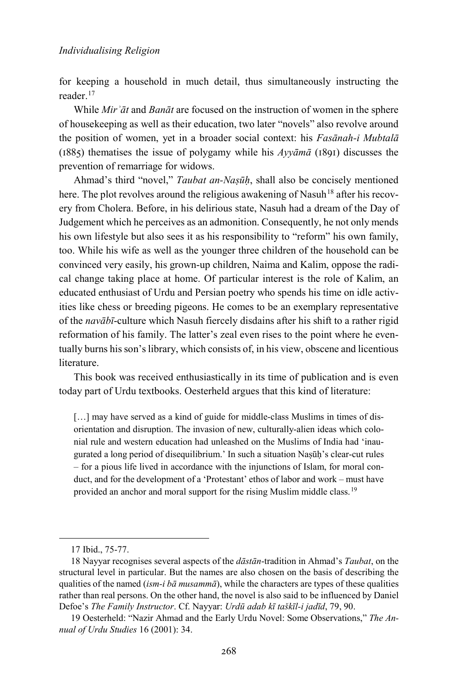for keeping a household in much detail, thus simultaneously instructing the reader.[17](#page-5-0)

While *Mirʾāt* and *Banāt* are focused on the instruction of women in the sphere of housekeeping as well as their education, two later "novels" also revolve around the position of women, yet in a broader social context: his *Fasānah-i Mubtalā*  (1885) thematises the issue of polygamy while his *Ayyāmā* (1891) discusses the prevention of remarriage for widows.

Ahmad's third "novel," *Taubat an-Naṣūḥ*, shall also be concisely mentioned here. The plot revolves around the religious awakening of Nasuh<sup>[18](#page-5-1)</sup> after his recovery from Cholera. Before, in his delirious state, Nasuh had a dream of the Day of Judgement which he perceives as an admonition. Consequently, he not only mends his own lifestyle but also sees it as his responsibility to "reform" his own family, too. While his wife as well as the younger three children of the household can be convinced very easily, his grown-up children, Naima and Kalim, oppose the radical change taking place at home. Of particular interest is the role of Kalim, an educated enthusiast of Urdu and Persian poetry who spends his time on idle activities like chess or breeding pigeons. He comes to be an exemplary representative of the *navābī*-culture which Nasuh fiercely disdains after his shift to a rather rigid reformation of his family. The latter's zeal even rises to the point where he eventually burns his son's library, which consists of, in his view, obscene and licentious literature.

This book was received enthusiastically in its time of publication and is even today part of Urdu textbooks. Oesterheld argues that this kind of literature:

[...] may have served as a kind of guide for middle-class Muslims in times of disorientation and disruption. The invasion of new, culturally-alien ideas which colonial rule and western education had unleashed on the Muslims of India had 'inaugurated a long period of disequilibrium.' In such a situation Naṣūḥ's clear-cut rules – for a pious life lived in accordance with the injunctions of Islam, for moral conduct, and for the development of a 'Protestant' ethos of labor and work – must have provided an anchor and moral support for the rising Muslim middle class.<sup>[19](#page-5-2)</sup>

<sup>17</sup> Ibid., 75-77.

<span id="page-5-1"></span><span id="page-5-0"></span><sup>18</sup> Nayyar recognises several aspects of the *dāstān*-tradition in Ahmad's *Taubat*, on the structural level in particular. But the names are also chosen on the basis of describing the qualities of the named (*ism-i bā musammā*), while the characters are types of these qualities rather than real persons. On the other hand, the novel is also said to be influenced by Daniel Defoe's *The Family Instructor*. Cf. Nayyar: *Urdū adab kī taškīl-i jadīd*, 79, 90.

<span id="page-5-2"></span><sup>19</sup> Oesterheld: "Nazir Ahmad and the Early Urdu Novel: Some Observations," *The Annual of Urdu Studies* 16 (2001): 34.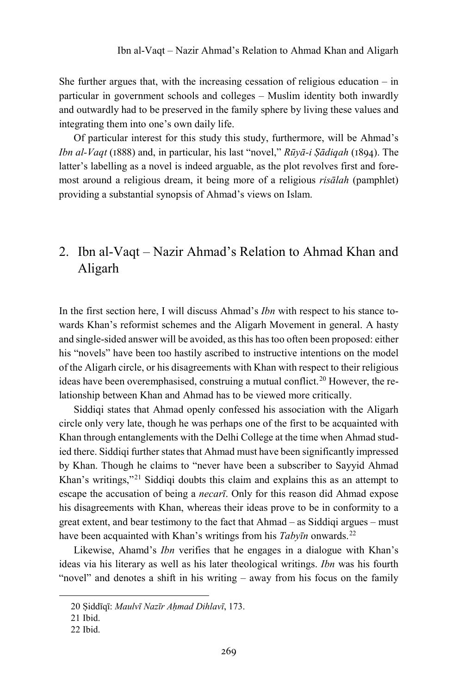She further argues that, with the increasing cessation of religious education  $-$  in particular in government schools and colleges – Muslim identity both inwardly and outwardly had to be preserved in the family sphere by living these values and integrating them into one's own daily life.

Of particular interest for this study this study, furthermore, will be Ahmad's *Ibn al-Vaqt* (1888) and, in particular, his last "novel," *Rūyā-i Ṣādiqah* (1894). The latter's labelling as a novel is indeed arguable, as the plot revolves first and foremost around a religious dream, it being more of a religious *risālah* (pamphlet) providing a substantial synopsis of Ahmad's views on Islam.

# 2. Ibn al-Vaqt – Nazir Ahmad's Relation to Ahmad Khan and Aligarh

In the first section here, I will discuss Ahmad's *Ibn* with respect to his stance towards Khan's reformist schemes and the Aligarh Movement in general. A hasty and single-sided answer will be avoided, as this has too often been proposed: either his "novels" have been too hastily ascribed to instructive intentions on the model of the Aligarh circle, or his disagreements with Khan with respect to their religious ideas have been overemphasised, construing a mutual conflict.<sup>[20](#page-6-0)</sup> However, the relationship between Khan and Ahmad has to be viewed more critically.

Siddiqi states that Ahmad openly confessed his association with the Aligarh circle only very late, though he was perhaps one of the first to be acquainted with Khan through entanglements with the Delhi College at the time when Ahmad studied there. Siddiqi further states that Ahmad must have been significantly impressed by Khan. Though he claims to "never have been a subscriber to Sayyid Ahmad Khan's writings,"[21](#page-6-1) Siddiqi doubts this claim and explains this as an attempt to escape the accusation of being a *necarī*. Only for this reason did Ahmad expose his disagreements with Khan, whereas their ideas prove to be in conformity to a great extent, and bear testimony to the fact that Ahmad – as Siddiqi argues – must have been acquainted with Khan's writings from his *Tabyīn* onwards.<sup>[22](#page-6-2)</sup>

Likewise, Ahamd's *Ibn* verifies that he engages in a dialogue with Khan's ideas via his literary as well as his later theological writings. *Ibn* was his fourth "novel" and denotes a shift in his writing – away from his focus on the family

<span id="page-6-0"></span><sup>20</sup> Ṣiddīqī: *Maulvī Nazīr Aḥmad Dihlavī*, 173.

<span id="page-6-1"></span><sup>21</sup> Ibid.

<span id="page-6-2"></span><sup>22</sup> Ibid.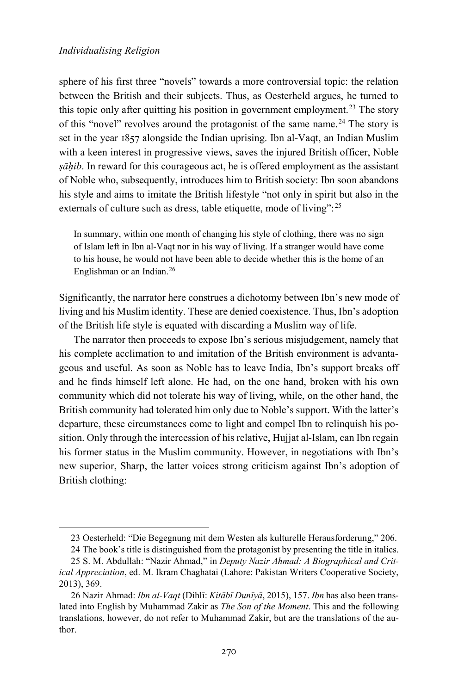<span id="page-7-0"></span>-

sphere of his first three "novels" towards a more controversial topic: the relation between the British and their subjects. Thus, as Oesterheld argues, he turned to this topic only after quitting his position in government employment.<sup>[23](#page-7-0)</sup> The story of this "novel" revolves around the protagonist of the same name.<sup>[24](#page-7-1)</sup> The story is set in the year 1857 alongside the Indian uprising. Ibn al-Vaqt, an Indian Muslim with a keen interest in progressive views, saves the injured British officer, Noble *ṣāḥib*. In reward for this courageous act, he is offered employment as the assistant of Noble who, subsequently, introduces him to British society: Ibn soon abandons his style and aims to imitate the British lifestyle "not only in spirit but also in the externals of culture such as dress, table etiquette, mode of living":<sup>[25](#page-7-2)</sup>

In summary, within one month of changing his style of clothing, there was no sign of Islam left in Ibn al-Vaqt nor in his way of living. If a stranger would have come to his house, he would not have been able to decide whether this is the home of an Englishman or an Indian.[26](#page-7-3)

Significantly, the narrator here construes a dichotomy between Ibn's new mode of living and his Muslim identity. These are denied coexistence. Thus, Ibn's adoption of the British life style is equated with discarding a Muslim way of life.

The narrator then proceeds to expose Ibn's serious misjudgement, namely that his complete acclimation to and imitation of the British environment is advantageous and useful. As soon as Noble has to leave India, Ibn's support breaks off and he finds himself left alone. He had, on the one hand, broken with his own community which did not tolerate his way of living, while, on the other hand, the British community had tolerated him only due to Noble's support. With the latter's departure, these circumstances come to light and compel Ibn to relinquish his position. Only through the intercession of his relative, Hujjat al-Islam, can Ibn regain his former status in the Muslim community. However, in negotiations with Ibn's new superior, Sharp, the latter voices strong criticism against Ibn's adoption of British clothing:

<sup>23</sup> Oesterheld: "Die Begegnung mit dem Westen als kulturelle Herausforderung," 206.

<sup>24</sup> The book's title is distinguished from the protagonist by presenting the title in italics.

<span id="page-7-2"></span><span id="page-7-1"></span><sup>25</sup> S. M. Abdullah: "Nazir Ahmad," in *Deputy Nazir Ahmad: A Biographical and Critical Appreciation*, ed. M. Ikram Chaghatai (Lahore: Pakistan Writers Cooperative Society, 2013), 369.

<span id="page-7-3"></span><sup>26</sup> Nazir Ahmad: *Ibn al-Vaqt* (Dihlī: *Kitābī Dunīyā*, 2015), 157. *Ibn* has also been translated into English by Muhammad Zakir as *The Son of the Moment*. This and the following translations, however, do not refer to Muhammad Zakir, but are the translations of the author.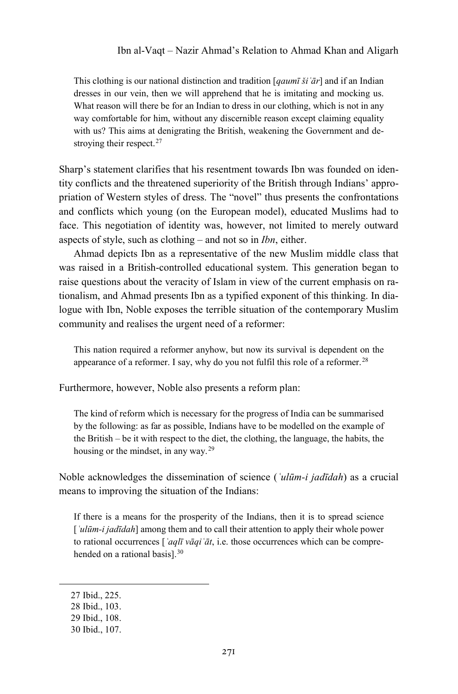This clothing is our national distinction and tradition [*qaumī šiʿār*] and if an Indian dresses in our vein, then we will apprehend that he is imitating and mocking us. What reason will there be for an Indian to dress in our clothing, which is not in any way comfortable for him, without any discernible reason except claiming equality with us? This aims at denigrating the British, weakening the Government and de-stroying their respect.<sup>[27](#page-8-0)</sup>

Sharp's statement clarifies that his resentment towards Ibn was founded on identity conflicts and the threatened superiority of the British through Indians' appropriation of Western styles of dress. The "novel" thus presents the confrontations and conflicts which young (on the European model), educated Muslims had to face. This negotiation of identity was, however, not limited to merely outward aspects of style, such as clothing – and not so in *Ibn*, either.

Ahmad depicts Ibn as a representative of the new Muslim middle class that was raised in a British-controlled educational system. This generation began to raise questions about the veracity of Islam in view of the current emphasis on rationalism, and Ahmad presents Ibn as a typified exponent of this thinking. In dialogue with Ibn, Noble exposes the terrible situation of the contemporary Muslim community and realises the urgent need of a reformer:

This nation required a reformer anyhow, but now its survival is dependent on the appearance of a reformer. I say, why do you not fulfil this role of a reformer.<sup>[28](#page-8-1)</sup>

Furthermore, however, Noble also presents a reform plan:

The kind of reform which is necessary for the progress of India can be summarised by the following: as far as possible, Indians have to be modelled on the example of the British – be it with respect to the diet, the clothing, the language, the habits, the housing or the mindset, in any way.[29](#page-8-2)

Noble acknowledges the dissemination of science (*ʿulūm-i jadīdah*) as a crucial means to improving the situation of the Indians:

If there is a means for the prosperity of the Indians, then it is to spread science [*ʿulūm-i jadīdah*] among them and to call their attention to apply their whole power to rational occurrences [*ʿaqlī vāqiʿāt*, i.e. those occurrences which can be comprehended on a rational basis].[30](#page-8-3)

<span id="page-8-0"></span><sup>27</sup> Ibid., 225.

<span id="page-8-1"></span><sup>28</sup> Ibid., 103.

<span id="page-8-2"></span><sup>29</sup> Ibid., 108.

<span id="page-8-3"></span><sup>30</sup> Ibid., 107.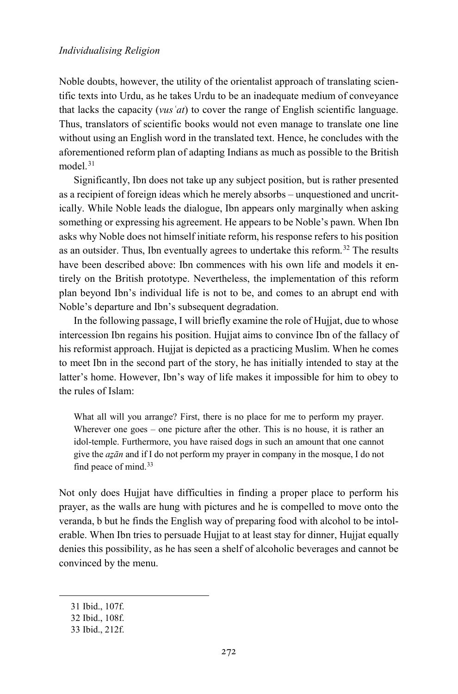Noble doubts, however, the utility of the orientalist approach of translating scientific texts into Urdu, as he takes Urdu to be an inadequate medium of conveyance that lacks the capacity (*vusʿat*) to cover the range of English scientific language. Thus, translators of scientific books would not even manage to translate one line without using an English word in the translated text. Hence, he concludes with the aforementioned reform plan of adapting Indians as much as possible to the British model<sup>[31](#page-9-0)</sup>

Significantly, Ibn does not take up any subject position, but is rather presented as a recipient of foreign ideas which he merely absorbs – unquestioned and uncritically. While Noble leads the dialogue, Ibn appears only marginally when asking something or expressing his agreement. He appears to be Noble's pawn. When Ibn asks why Noble does not himself initiate reform, his response refers to his position as an outsider. Thus, Ibn eventually agrees to undertake this reform.<sup>[32](#page-9-1)</sup> The results have been described above: Ibn commences with his own life and models it entirely on the British prototype. Nevertheless, the implementation of this reform plan beyond Ibn's individual life is not to be, and comes to an abrupt end with Noble's departure and Ibn's subsequent degradation.

In the following passage, I will briefly examine the role of Hujjat, due to whose intercession Ibn regains his position. Hujjat aims to convince Ibn of the fallacy of his reformist approach. Hujjat is depicted as a practicing Muslim. When he comes to meet Ibn in the second part of the story, he has initially intended to stay at the latter's home. However, Ibn's way of life makes it impossible for him to obey to the rules of Islam:

What all will you arrange? First, there is no place for me to perform my prayer. Wherever one goes – one picture after the other. This is no house, it is rather an idol-temple. Furthermore, you have raised dogs in such an amount that one cannot give the *aẕān* and if I do not perform my prayer in company in the mosque, I do not find peace of mind.<sup>[33](#page-9-2)</sup>

Not only does Hujjat have difficulties in finding a proper place to perform his prayer, as the walls are hung with pictures and he is compelled to move onto the veranda, b but he finds the English way of preparing food with alcohol to be intolerable. When Ibn tries to persuade Hujjat to at least stay for dinner, Hujjat equally denies this possibility, as he has seen a shelf of alcoholic beverages and cannot be convinced by the menu.

<span id="page-9-0"></span><sup>31</sup> Ibid., 107f.

<span id="page-9-1"></span><sup>32</sup> Ibid., 108f.

<span id="page-9-2"></span><sup>33</sup> Ibid., 212f.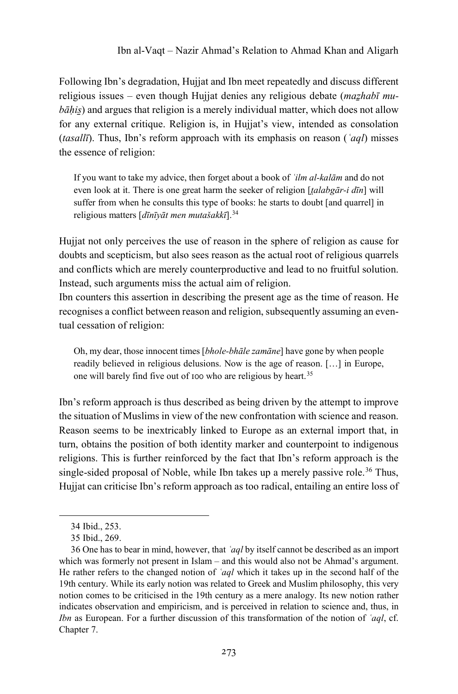Following Ibn's degradation, Hujjat and Ibn meet repeatedly and discuss different religious issues – even though Hujjat denies any religious debate (*maẕhabī mubāhis*) and argues that religion is a merely individual matter, which does not allow for any external critique. Religion is, in Hujjat's view, intended as consolation (*tasallī*). Thus, Ibn's reform approach with its emphasis on reason (*ʿaql*) misses the essence of religion:

If you want to take my advice, then forget about a book of *ʿilm al-kalām* and do not even look at it. There is one great harm the seeker of religion [*t̤alabgār-i dīn*] will suffer from when he consults this type of books: he starts to doubt [and quarrel] in religious matters [*dīnīyāt men mutašakkī*].[34](#page-10-0)

Hujjat not only perceives the use of reason in the sphere of religion as cause for doubts and scepticism, but also sees reason as the actual root of religious quarrels and conflicts which are merely counterproductive and lead to no fruitful solution. Instead, such arguments miss the actual aim of religion.

Ibn counters this assertion in describing the present age as the time of reason. He recognises a conflict between reason and religion, subsequently assuming an eventual cessation of religion:

Oh, my dear, those innocent times [*bhole-bhāle zamāne*] have gone by when people readily believed in religious delusions. Now is the age of reason. […] in Europe, one will barely find five out of 100 who are religious by heart.[35](#page-10-1)

Ibn's reform approach is thus described as being driven by the attempt to improve the situation of Muslims in view of the new confrontation with science and reason. Reason seems to be inextricably linked to Europe as an external import that, in turn, obtains the position of both identity marker and counterpoint to indigenous religions. This is further reinforced by the fact that Ibn's reform approach is the single-sided proposal of Noble, while Ibn takes up a merely passive role.<sup>[36](#page-10-2)</sup> Thus, Hujjat can criticise Ibn's reform approach as too radical, entailing an entire loss of

<sup>34</sup> Ibid., 253.

<sup>35</sup> Ibid., 269.

<span id="page-10-2"></span><span id="page-10-1"></span><span id="page-10-0"></span><sup>36</sup> One has to bear in mind, however, that *ʿaql* by itself cannot be described as an import which was formerly not present in Islam – and this would also not be Ahmad's argument. He rather refers to the changed notion of *ʿaql* which it takes up in the second half of the 19th century. While its early notion was related to Greek and Muslim philosophy, this very notion comes to be criticised in the 19th century as a mere analogy. Its new notion rather indicates observation and empiricism, and is perceived in relation to science and, thus, in *Ibn* as European. For a further discussion of this transformation of the notion of *ʿaql*, cf. Chapter 7.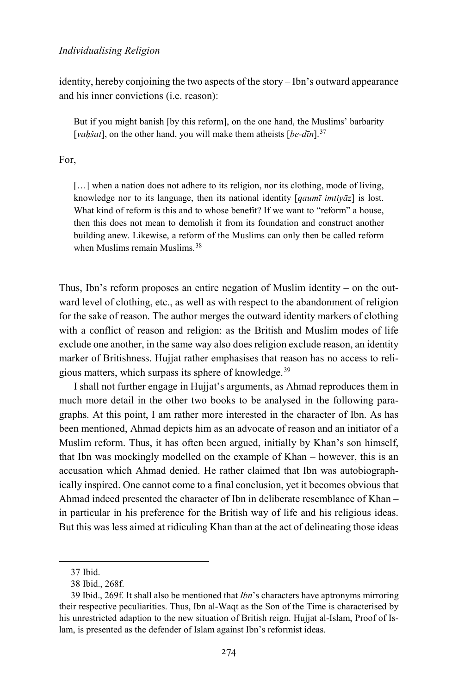identity, hereby conjoining the two aspects of the story – Ibn's outward appearance and his inner convictions (i.e. reason):

But if you might banish [by this reform], on the one hand, the Muslims' barbarity [*vah*<sup>*šat*], on the other hand, you will make them atheists [*be-dīn*].<sup>[37](#page-11-0)</sup></sup>

### For,

[...] when a nation does not adhere to its religion, nor its clothing, mode of living, knowledge nor to its language, then its national identity [*qaumī imtiyāz*] is lost. What kind of reform is this and to whose benefit? If we want to "reform" a house, then this does not mean to demolish it from its foundation and construct another building anew. Likewise, a reform of the Muslims can only then be called reform when Muslims remain Muslims.<sup>[38](#page-11-1)</sup>

Thus, Ibn's reform proposes an entire negation of Muslim identity – on the outward level of clothing, etc., as well as with respect to the abandonment of religion for the sake of reason. The author merges the outward identity markers of clothing with a conflict of reason and religion: as the British and Muslim modes of life exclude one another, in the same way also does religion exclude reason, an identity marker of Britishness. Hujjat rather emphasises that reason has no access to religious matters, which surpass its sphere of knowledge.[39](#page-11-2)

I shall not further engage in Hujjat's arguments, as Ahmad reproduces them in much more detail in the other two books to be analysed in the following paragraphs. At this point, I am rather more interested in the character of Ibn. As has been mentioned, Ahmad depicts him as an advocate of reason and an initiator of a Muslim reform. Thus, it has often been argued, initially by Khan's son himself, that Ibn was mockingly modelled on the example of Khan – however, this is an accusation which Ahmad denied. He rather claimed that Ibn was autobiographically inspired. One cannot come to a final conclusion, yet it becomes obvious that Ahmad indeed presented the character of Ibn in deliberate resemblance of Khan – in particular in his preference for the British way of life and his religious ideas. But this was less aimed at ridiculing Khan than at the act of delineating those ideas

<sup>37</sup> Ibid.

<sup>38</sup> Ibid., 268f.

<span id="page-11-2"></span><span id="page-11-1"></span><span id="page-11-0"></span><sup>39</sup> Ibid., 269f. It shall also be mentioned that *Ibn*'s characters have aptronyms mirroring their respective peculiarities. Thus, Ibn al-Waqt as the Son of the Time is characterised by his unrestricted adaption to the new situation of British reign. Hujjat al-Islam, Proof of Islam, is presented as the defender of Islam against Ibn's reformist ideas.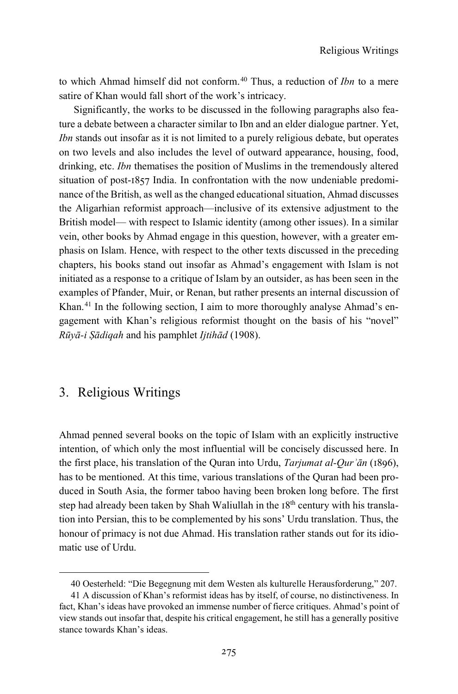to which Ahmad himself did not conform.[40](#page-12-0) Thus, a reduction of *Ibn* to a mere satire of Khan would fall short of the work's intricacy.

Significantly, the works to be discussed in the following paragraphs also feature a debate between a character similar to Ibn and an elder dialogue partner. Yet, *Ibn* stands out insofar as it is not limited to a purely religious debate, but operates on two levels and also includes the level of outward appearance, housing, food, drinking, etc. *Ibn* thematises the position of Muslims in the tremendously altered situation of post-1857 India. In confrontation with the now undeniable predominance of the British, as well as the changed educational situation, Ahmad discusses the Aligarhian reformist approach—inclusive of its extensive adjustment to the British model— with respect to Islamic identity (among other issues). In a similar vein, other books by Ahmad engage in this question, however, with a greater emphasis on Islam. Hence, with respect to the other texts discussed in the preceding chapters, his books stand out insofar as Ahmad's engagement with Islam is not initiated as a response to a critique of Islam by an outsider, as has been seen in the examples of Pfander, Muir, or Renan, but rather presents an internal discussion of Khan.<sup>[41](#page-12-1)</sup> In the following section, I aim to more thoroughly analyse Ahmad's engagement with Khan's religious reformist thought on the basis of his "novel" *Rūyā-i Ṣādiqah* and his pamphlet *Ijtihād* (1908).

# 3. Religious Writings

-

Ahmad penned several books on the topic of Islam with an explicitly instructive intention, of which only the most influential will be concisely discussed here. In the first place, his translation of the Quran into Urdu, *Tarjumat al-Qurʾān* (1896), has to be mentioned. At this time, various translations of the Quran had been produced in South Asia, the former taboo having been broken long before. The first step had already been taken by Shah Waliullah in the 18<sup>th</sup> century with his translation into Persian, this to be complemented by his sons' Urdu translation. Thus, the honour of primacy is not due Ahmad. His translation rather stands out for its idiomatic use of Urdu.

<sup>40</sup> Oesterheld: "Die Begegnung mit dem Westen als kulturelle Herausforderung," 207.

<span id="page-12-1"></span><span id="page-12-0"></span><sup>41</sup> A discussion of Khan's reformist ideas has by itself, of course, no distinctiveness. In fact, Khan's ideas have provoked an immense number of fierce critiques. Ahmad's point of view stands out insofar that, despite his critical engagement, he still has a generally positive stance towards Khan's ideas.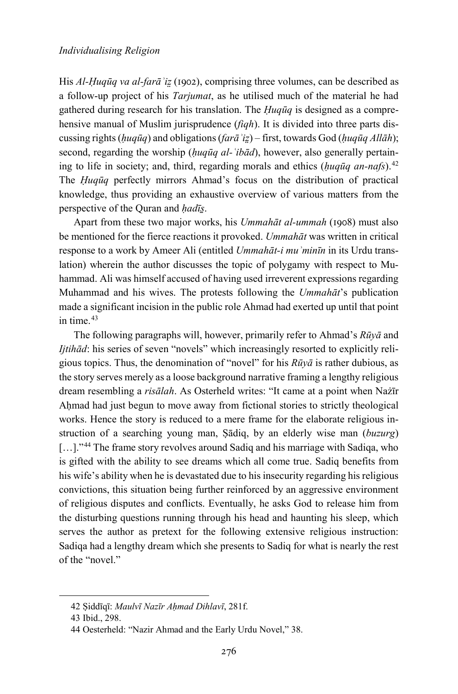His *Al-Ḥuqūq va al-farāʾiz̤*(1902), comprising three volumes, can be described as a follow-up project of his *Tarjumat*, as he utilised much of the material he had gathered during research for his translation. The *Ḥuqūq* is designed as a comprehensive manual of Muslim jurisprudence (*fiqh*). It is divided into three parts discussing rights (*ḥuqūq*) and obligations (*farāʾiz̤*) – first, towards God (*ḥuqūq Allāh*); second, regarding the worship (*ḥuqūq al-ʿibād*), however, also generally pertaining to life in society; and, third, regarding morals and ethics (*ḥuqūq an-nafs*).[42](#page-13-0) The *Ḥuqūq* perfectly mirrors Ahmad's focus on the distribution of practical knowledge, thus providing an exhaustive overview of various matters from the perspective of the Quran and *hadīs*.

Apart from these two major works, his *Ummahāt al-ummah* (1908) must also be mentioned for the fierce reactions it provoked. *Ummahāt* was written in critical response to a work by Ameer Ali (entitled *Ummahāt-i muʾminīn* in its Urdu translation) wherein the author discusses the topic of polygamy with respect to Muhammad. Ali was himself accused of having used irreverent expressions regarding Muhammad and his wives. The protests following the *Ummahāt*'s publication made a significant incision in the public role Ahmad had exerted up until that point in time. $43$ 

The following paragraphs will, however, primarily refer to Ahmad's *Rūyā* and *Ijtihād*: his series of seven "novels" which increasingly resorted to explicitly religious topics. Thus, the denomination of "novel" for his *Rūyā* is rather dubious, as the story serves merely as a loose background narrative framing a lengthy religious dream resembling a *risālah*. As Osterheld writes: "It came at a point when Nażīr Aḥmad had just begun to move away from fictional stories to strictly theological works. Hence the story is reduced to a mere frame for the elaborate religious instruction of a searching young man, Ṣādiq, by an elderly wise man (*buzurg*) [...]."<sup>[44](#page-13-2)</sup> The frame story revolves around Sadiq and his marriage with Sadiqa, who is gifted with the ability to see dreams which all come true. Sadiq benefits from his wife's ability when he is devastated due to his insecurity regarding his religious convictions, this situation being further reinforced by an aggressive environment of religious disputes and conflicts. Eventually, he asks God to release him from the disturbing questions running through his head and haunting his sleep, which serves the author as pretext for the following extensive religious instruction: Sadiqa had a lengthy dream which she presents to Sadiq for what is nearly the rest of the "novel."

<span id="page-13-0"></span><sup>42</sup> Ṣiddīqī: *Maulvī Nazīr Aḥmad Dihlavī*, 281f.

<span id="page-13-1"></span><sup>43</sup> Ibid., 298.

<span id="page-13-2"></span><sup>44</sup> Oesterheld: "Nazir Ahmad and the Early Urdu Novel," 38.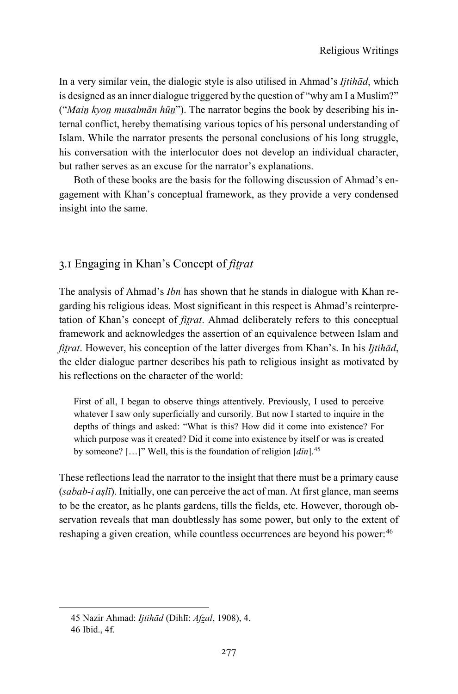In a very similar vein, the dialogic style is also utilised in Ahmad's *Ijtihād*, which is designed as an inner dialogue triggered by the question of "why am I a Muslim?" ("*Maiṉ kyoṉ musalmān hūṉ*"). The narrator begins the book by describing his internal conflict, hereby thematising various topics of his personal understanding of Islam. While the narrator presents the personal conclusions of his long struggle, his conversation with the interlocutor does not develop an individual character, but rather serves as an excuse for the narrator's explanations.

Both of these books are the basis for the following discussion of Ahmad's engagement with Khan's conceptual framework, as they provide a very condensed insight into the same.

# 3.1 Engaging in Khan's Concept of *fit̤rat*

The analysis of Ahmad's *Ibn* has shown that he stands in dialogue with Khan regarding his religious ideas. Most significant in this respect is Ahmad's reinterpretation of Khan's concept of *fit̤rat*. Ahmad deliberately refers to this conceptual framework and acknowledges the assertion of an equivalence between Islam and *fitrat*. However, his conception of the latter diverges from Khan's. In his *Ijtihād*, the elder dialogue partner describes his path to religious insight as motivated by his reflections on the character of the world:

First of all, I began to observe things attentively. Previously, I used to perceive whatever I saw only superficially and cursorily. But now I started to inquire in the depths of things and asked: "What is this? How did it come into existence? For which purpose was it created? Did it come into existence by itself or was is created by someone? […]" Well, this is the foundation of religion [*dīn*].[45](#page-14-0)

These reflections lead the narrator to the insight that there must be a primary cause (*sabab-i aṣlī*). Initially, one can perceive the act of man. At first glance, man seems to be the creator, as he plants gardens, tills the fields, etc. However, thorough observation reveals that man doubtlessly has some power, but only to the extent of reshaping a given creation, while countless occurrences are beyond his power:<sup>[46](#page-14-1)</sup>

<span id="page-14-1"></span><span id="page-14-0"></span>1

<sup>45</sup> Nazir Ahmad: *Ijtihād* (Dihlī: *Afz̤al*, 1908), 4.

<sup>46</sup> Ibid., 4f.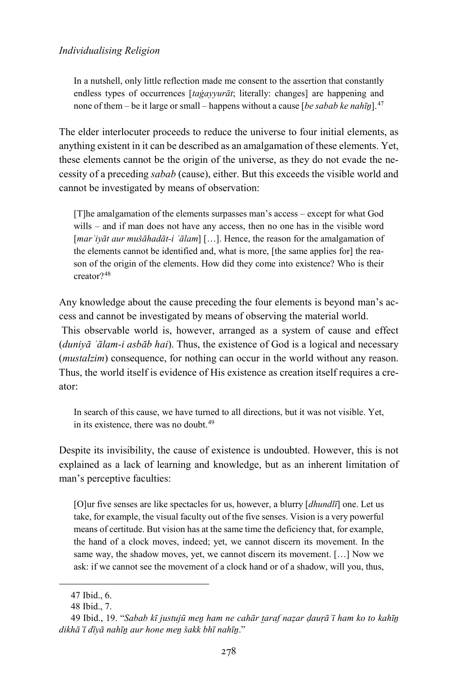In a nutshell, only little reflection made me consent to the assertion that constantly endless types of occurrences [*taġayyurāt*; literally: changes] are happening and none of them – be it large or small – happens without a cause [*be sabab ke nahīṉ*].[47](#page-15-0)

The elder interlocuter proceeds to reduce the universe to four initial elements, as anything existent in it can be described as an amalgamation of these elements. Yet, these elements cannot be the origin of the universe, as they do not evade the necessity of a preceding *sabab* (cause), either. But this exceeds the visible world and cannot be investigated by means of observation:

[T]he amalgamation of the elements surpasses man's access – except for what God wills – and if man does not have any access, then no one has in the visible word [*marʾiyāt aur mušāhadāt-i ʿālam*] […]. Hence, the reason for the amalgamation of the elements cannot be identified and, what is more, [the same applies for] the reason of the origin of the elements. How did they come into existence? Who is their creator?[48](#page-15-1)

Any knowledge about the cause preceding the four elements is beyond man's access and cannot be investigated by means of observing the material world.

This observable world is, however, arranged as a system of cause and effect (*duniyā ʿālam-i asbāb hai*). Thus, the existence of God is a logical and necessary (*mustalzim*) consequence, for nothing can occur in the world without any reason. Thus, the world itself is evidence of His existence as creation itself requires a creator:

In search of this cause, we have turned to all directions, but it was not visible. Yet, in its existence, there was no doubt.<sup>[49](#page-15-2)</sup>

Despite its invisibility, the cause of existence is undoubted. However, this is not explained as a lack of learning and knowledge, but as an inherent limitation of man's perceptive faculties:

[O]ur five senses are like spectacles for us, however, a blurry [*dhundlī*] one. Let us take, for example, the visual faculty out of the five senses. Vision is a very powerful means of certitude. But vision has at the same time the deficiency that, for example, the hand of a clock moves, indeed; yet, we cannot discern its movement. In the same way, the shadow moves, yet, we cannot discern its movement. […] Now we ask: if we cannot see the movement of a clock hand or of a shadow, will you, thus,

<sup>47</sup> Ibid., 6.

<sup>48</sup> Ibid., 7.

<span id="page-15-2"></span><span id="page-15-1"></span><span id="page-15-0"></span><sup>49</sup> Ibid., 19. "*Sabab kī justujū meṉ ham ne cahār t̤araf naẓar ḍauṛāʾī ham ko to kahīṉ dikhāʾī dīyā nahīṉ aur hone meṉ šakk bhī nahīṉ*."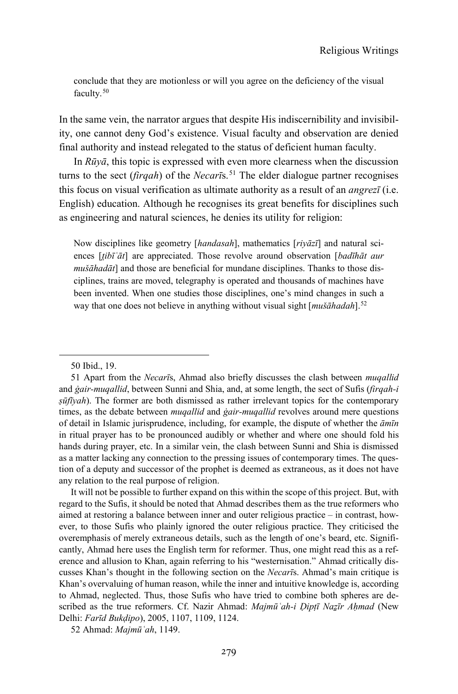conclude that they are motionless or will you agree on the deficiency of the visual faculty.<sup>[50](#page-16-0)</sup>

In the same vein, the narrator argues that despite His indiscernibility and invisibility, one cannot deny God's existence. Visual faculty and observation are denied final authority and instead relegated to the status of deficient human faculty.

In *Rūyā*, this topic is expressed with even more clearness when the discussion turns to the sect (*firqah*) of the *Necari*s.<sup>[51](#page-16-1)</sup> The elder dialogue partner recognises this focus on visual verification as ultimate authority as a result of an *angrezī* (i.e. English) education. Although he recognises its great benefits for disciplines such as engineering and natural sciences, he denies its utility for religion:

Now disciplines like geometry [*handasah*], mathematics [*riyāzī*] and natural sciences [*t̤ibīʿāt*] are appreciated. Those revolve around observation [*badīhāt aur mušāhadāt*] and those are beneficial for mundane disciplines. Thanks to those disciplines, trains are moved, telegraphy is operated and thousands of machines have been invented. When one studies those disciplines, one's mind changes in such a way that one does not believe in anything without visual sight [*mušāhadah*].[52](#page-16-2)

-

It will not be possible to further expand on this within the scope of this project. But, with regard to the Sufis, it should be noted that Ahmad describes them as the true reformers who aimed at restoring a balance between inner and outer religious practice – in contrast, however, to those Sufis who plainly ignored the outer religious practice. They criticised the overemphasis of merely extraneous details, such as the length of one's beard, etc. Significantly, Ahmad here uses the English term for reformer. Thus, one might read this as a reference and allusion to Khan, again referring to his "westernisation." Ahmad critically discusses Khan's thought in the following section on the *Necarī*s. Ahmad's main critique is Khan's overvaluing of human reason, while the inner and intuitive knowledge is, according to Ahmad, neglected. Thus, those Sufis who have tried to combine both spheres are described as the true reformers. Cf. Nazir Ahmad: *Majmūʿah-i Ḍipṭī Naẕīr Aḥmad* (New Delhi: *Farīd Bukḍipo*), 2005, 1107, 1109, 1124.

<span id="page-16-2"></span>52 Ahmad: *Majmūʿah*, 1149.

<sup>50</sup> Ibid., 19.

<span id="page-16-1"></span><span id="page-16-0"></span><sup>51</sup> Apart from the *Necarī*s, Ahmad also briefly discusses the clash between *muqallid* and *ġair-muqallid*, between Sunni and Shia, and, at some length, the sect of Sufis (*firqah-i ṣūfīyah*). The former are both dismissed as rather irrelevant topics for the contemporary times, as the debate between *muqallid* and *ġair-muqallid* revolves around mere questions of detail in Islamic jurisprudence, including, for example, the dispute of whether the *āmīn* in ritual prayer has to be pronounced audibly or whether and where one should fold his hands during prayer, etc. In a similar vein, the clash between Sunni and Shia is dismissed as a matter lacking any connection to the pressing issues of contemporary times. The question of a deputy and successor of the prophet is deemed as extraneous, as it does not have any relation to the real purpose of religion.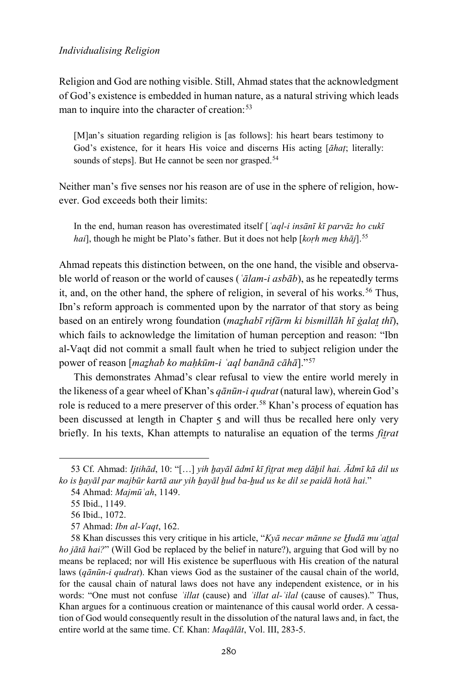Religion and God are nothing visible. Still, Ahmad states that the acknowledgment of God's existence is embedded in human nature, as a natural striving which leads man to inquire into the character of creation:<sup>[53](#page-17-0)</sup>

[M]an's situation regarding religion is [as follows]: his heart bears testimony to God's existence, for it hears His voice and discerns His acting [*āhaṭ*; literally: sounds of steps]. But He cannot be seen nor grasped.<sup>54</sup>

Neither man's five senses nor his reason are of use in the sphere of religion, however. God exceeds both their limits:

In the end, human reason has overestimated itself [*ʿaql-i insānī kī parvāz ho cukī hai*], though he might be Plato's father. But it does not help [*koṛh meṉ khāj*].[55](#page-17-2)

Ahmad repeats this distinction between, on the one hand, the visible and observable world of reason or the world of causes (*ʿālam-i asbāb*), as he repeatedly terms it, and, on the other hand, the sphere of religion, in several of his works.<sup>[56](#page-17-3)</sup> Thus, Ibn's reform approach is commented upon by the narrator of that story as being based on an entirely wrong foundation (*maẕhabī rifārm ki bismillāh hī ġalat̤ thī*), which fails to acknowledge the limitation of human perception and reason: "Ibn al-Vaqt did not commit a small fault when he tried to subject religion under the power of reason [*maẕhab ko maḥkūm-i ʿaql banānā cāhā*]."[57](#page-17-4)

This demonstrates Ahmad's clear refusal to view the entire world merely in the likeness of a gear wheel of Khan's *qānūn-i qudrat* (natural law), wherein God's role is reduced to a mere preserver of this order.<sup>[58](#page-17-5)</sup> Khan's process of equation has been discussed at length in Chapter 5 and will thus be recalled here only very briefly. In his texts, Khan attempts to naturalise an equation of the terms *fit̤rat* 

<span id="page-17-2"></span><span id="page-17-1"></span><span id="page-17-0"></span><sup>53</sup> Cf. Ahmad: *Ijtihād*, 10: "[…] *yih ẖayāl ādmī kī fit̤rat meṉ dāẖil hai. Ādmī kā dil us ko is ẖayāl par majbūr kartā aur yih ẖayāl ẖud ba-ẖud us ke dil se paidā hotā hai*."

<sup>54</sup> Ahmad: *Majmūʿah*, 1149.

<sup>55</sup> Ibid., 1149.

<sup>56</sup> Ibid., 1072.

<sup>57</sup> Ahmad: *Ibn al-Vaqt*, 162.

<span id="page-17-5"></span><span id="page-17-4"></span><span id="page-17-3"></span><sup>58</sup> Khan discusses this very critique in his article, "*Kyā necar mānne se H̱udā muʿat̤t̤al ho jātā hai?*" (Will God be replaced by the belief in nature?), arguing that God will by no means be replaced; nor will His existence be superfluous with His creation of the natural laws (*qānūn-i qudrat*). Khan views God as the sustainer of the causal chain of the world, for the causal chain of natural laws does not have any independent existence, or in his words: "One must not confuse *ʿillat* (cause) and *ʿillat al-ʿilal* (cause of causes)." Thus, Khan argues for a continuous creation or maintenance of this causal world order. A cessation of God would consequently result in the dissolution of the natural laws and, in fact, the entire world at the same time. Cf. Khan: *Maqālāt*, Vol. III, 283-5.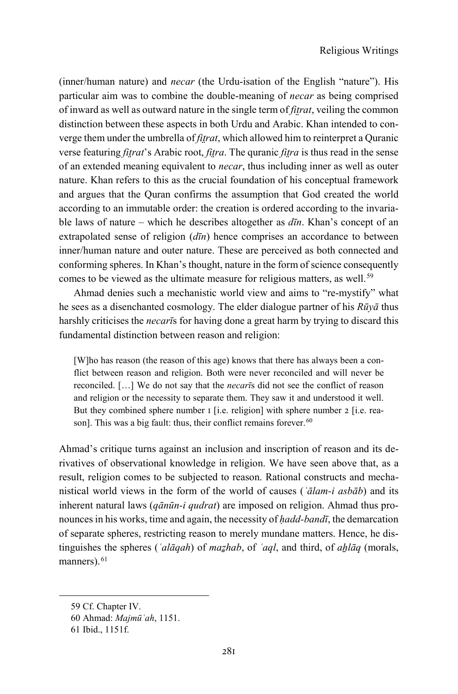(inner/human nature) and *necar* (the Urdu-isation of the English "nature"). His particular aim was to combine the double-meaning of *necar* as being comprised of inward as well as outward nature in the single term of *fit̤rat*, veiling the common distinction between these aspects in both Urdu and Arabic. Khan intended to converge them under the umbrella of *fit̤rat*, which allowed him to reinterpret a Quranic verse featuring *fitrat*'s Arabic root, *fitra*. The quranic *fitra* is thus read in the sense of an extended meaning equivalent to *necar*, thus including inner as well as outer nature. Khan refers to this as the crucial foundation of his conceptual framework and argues that the Quran confirms the assumption that God created the world according to an immutable order: the creation is ordered according to the invariable laws of nature – which he describes altogether as *dīn*. Khan's concept of an extrapolated sense of religion (*dīn*) hence comprises an accordance to between inner/human nature and outer nature. These are perceived as both connected and conforming spheres. In Khan's thought, nature in the form of science consequently comes to be viewed as the ultimate measure for religious matters, as well.<sup>[59](#page-18-0)</sup>

Ahmad denies such a mechanistic world view and aims to "re-mystify" what he sees as a disenchanted cosmology. The elder dialogue partner of his *Rūyā* thus harshly criticises the *necarī*s for having done a great harm by trying to discard this fundamental distinction between reason and religion:

[W]ho has reason (the reason of this age) knows that there has always been a conflict between reason and religion. Both were never reconciled and will never be reconciled. […] We do not say that the *necarī*s did not see the conflict of reason and religion or the necessity to separate them. They saw it and understood it well. But they combined sphere number 1 [i.e. religion] with sphere number 2 [i.e. rea-son]. This was a big fault: thus, their conflict remains forever.<sup>[60](#page-18-1)</sup>

Ahmad's critique turns against an inclusion and inscription of reason and its derivatives of observational knowledge in religion. We have seen above that, as a result, religion comes to be subjected to reason. Rational constructs and mechanistical world views in the form of the world of causes (*ʿālam-i asbāb*) and its inherent natural laws (*qānūn-i qudrat*) are imposed on religion. Ahmad thus pronounces in his works, time and again, the necessity of *ḥadd-bandī*, the demarcation of separate spheres, restricting reason to merely mundane matters. Hence, he distinguishes the spheres (*ʿalāqah*) of *maẕhab*, of *ʿaql*, and third, of *aẖlāq* (morals, manners).<sup>[61](#page-18-2)</sup>

<span id="page-18-0"></span><sup>59</sup> Cf. Chapter IV.

<span id="page-18-1"></span><sup>60</sup> Ahmad: *Majmūʿah*, 1151.

<span id="page-18-2"></span><sup>61</sup> Ibid., 1151f.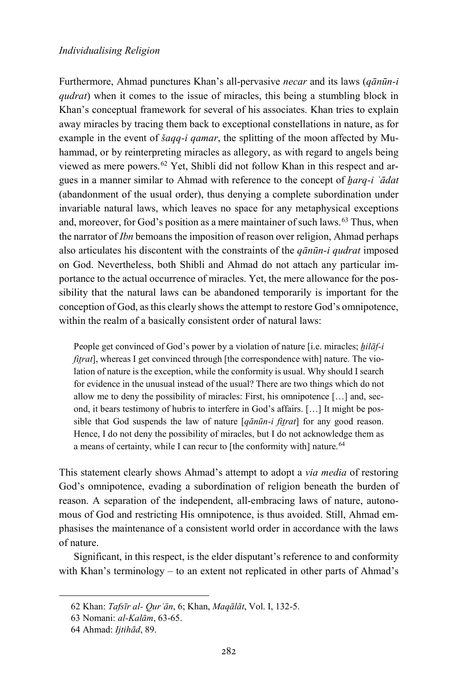Furthermore, Ahmad punctures Khan's all-pervasive *necar* and its laws (*qānūn-i qudrat*) when it comes to the issue of miracles, this being a stumbling block in Khan's conceptual framework for several of his associates. Khan tries to explain away miracles by tracing them back to exceptional constellations in nature, as for example in the event of *šaqq-i qamar*, the splitting of the moon affected by Muhammad, or by reinterpreting miracles as allegory, as with regard to angels being viewed as mere powers.[62](#page-19-0) Yet, Shibli did not follow Khan in this respect and argues in a manner similar to Ahmad with reference to the concept of *ẖarq-i ʿādat*  (abandonment of the usual order), thus denying a complete subordination under invariable natural laws, which leaves no space for any metaphysical exceptions and, moreover, for God's position as a mere maintainer of such laws.<sup>[63](#page-19-1)</sup> Thus, when the narrator of *Ibn* bemoans the imposition of reason over religion, Ahmad perhaps also articulates his discontent with the constraints of the *qānūn-i qudrat* imposed on God. Nevertheless, both Shibli and Ahmad do not attach any particular importance to the actual occurrence of miracles. Yet, the mere allowance for the possibility that the natural laws can be abandoned temporarily is important for the conception of God, as this clearly shows the attempt to restore God's omnipotence, within the realm of a basically consistent order of natural laws:

People get convinced of God's power by a violation of nature [i.e. miracles; *hilāf-i fitrat*], whereas I get convinced through [the correspondence with] nature. The violation of nature is the exception, while the conformity is usual. Why should I search for evidence in the unusual instead of the usual? There are two things which do not allow me to deny the possibility of miracles: First, his omnipotence […] and, second, it bears testimony of hubris to interfere in God's affairs. […] It might be possible that God suspends the law of nature [*qānūn-i fit̤rat*] for any good reason. Hence, I do not deny the possibility of miracles, but I do not acknowledge them as a means of certainty, while I can recur to [the conformity with] nature.<sup>[64](#page-19-2)</sup>

This statement clearly shows Ahmad's attempt to adopt a *via media* of restoring God's omnipotence, evading a subordination of religion beneath the burden of reason. A separation of the independent, all-embracing laws of nature, autonomous of God and restricting His omnipotence, is thus avoided. Still, Ahmad emphasises the maintenance of a consistent world order in accordance with the laws of nature.

Significant, in this respect, is the elder disputant's reference to and conformity with Khan's terminology – to an extent not replicated in other parts of Ahmad's

<span id="page-19-0"></span><sup>62</sup> Khan: *Tafsīr al- Qurʾān*, 6; Khan, *Maqālāt*, Vol. I, 132-5.

<span id="page-19-1"></span><sup>63</sup> Nomani: *al-Kalām*, 63-65.

<span id="page-19-2"></span><sup>64</sup> Ahmad: *Ijtihād*, 89.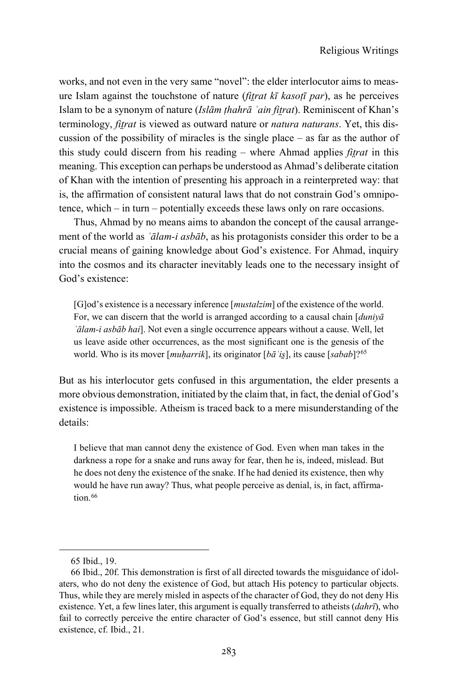works, and not even in the very same "novel": the elder interlocutor aims to measure Islam against the touchstone of nature (*fit̤rat kī kasoṭī par*), as he perceives Islam to be a synonym of nature (*Islām ṭhahrā ʿain fit̤rat*). Reminiscent of Khan's terminology, *fit̤rat* is viewed as outward nature or *natura naturans*. Yet, this discussion of the possibility of miracles is the single place  $-$  as far as the author of this study could discern from his reading – where Ahmad applies *fit̤rat* in this meaning. This exception can perhaps be understood as Ahmad's deliberate citation of Khan with the intention of presenting his approach in a reinterpreted way: that is, the affirmation of consistent natural laws that do not constrain God's omnipotence, which – in turn – potentially exceeds these laws only on rare occasions.

Thus, Ahmad by no means aims to abandon the concept of the causal arrangement of the world as *ʿālam-i asbāb*, as his protagonists consider this order to be a crucial means of gaining knowledge about God's existence. For Ahmad, inquiry into the cosmos and its character inevitably leads one to the necessary insight of God's existence:

[G]od's existence is a necessary inference [*mustalzim*] of the existence of the world. For, we can discern that the world is arranged according to a causal chain [*duniyā ʿālam-i asbāb hai*]. Not even a single occurrence appears without a cause. Well, let us leave aside other occurrences, as the most significant one is the genesis of the world. Who is its mover [*muḥarrik*], its originator [*bāʿis̱*], its cause [*sabab*]?[65](#page-20-0)

But as his interlocutor gets confused in this argumentation, the elder presents a more obvious demonstration, initiated by the claim that, in fact, the denial of God's existence is impossible. Atheism is traced back to a mere misunderstanding of the details:

I believe that man cannot deny the existence of God. Even when man takes in the darkness a rope for a snake and runs away for fear, then he is, indeed, mislead. But he does not deny the existence of the snake. If he had denied its existence, then why would he have run away? Thus, what people perceive as denial, is, in fact, affirma-tion.<sup>[66](#page-20-1)</sup>

<sup>65</sup> Ibid., 19.

<span id="page-20-1"></span><span id="page-20-0"></span><sup>66</sup> Ibid., 20f. This demonstration is first of all directed towards the misguidance of idolaters, who do not deny the existence of God, but attach His potency to particular objects. Thus, while they are merely misled in aspects of the character of God, they do not deny His existence. Yet, a few lines later, this argument is equally transferred to atheists (*dahrī*), who fail to correctly perceive the entire character of God's essence, but still cannot deny His existence, cf. Ibid., 21.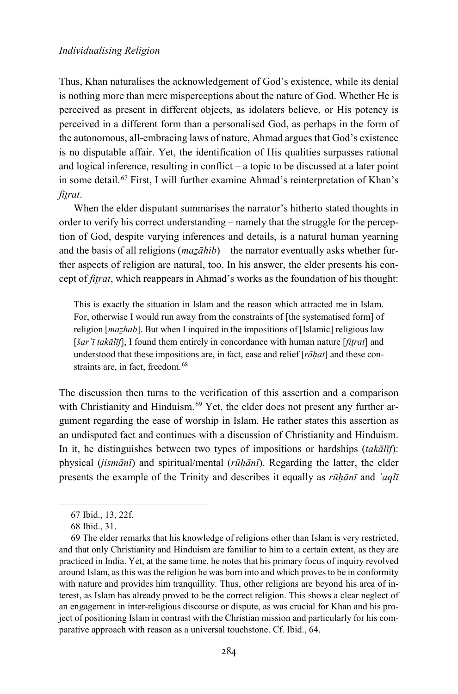Thus, Khan naturalises the acknowledgement of God's existence, while its denial is nothing more than mere misperceptions about the nature of God. Whether He is perceived as present in different objects, as idolaters believe, or His potency is perceived in a different form than a personalised God, as perhaps in the form of the autonomous, all-embracing laws of nature, Ahmad argues that God's existence is no disputable affair. Yet, the identification of His qualities surpasses rational and logical inference, resulting in conflict – a topic to be discussed at a later point in some detail.[67](#page-21-0) First, I will further examine Ahmad's reinterpretation of Khan's *fit̤rat*.

When the elder disputant summarises the narrator's hitherto stated thoughts in order to verify his correct understanding – namely that the struggle for the perception of God, despite varying inferences and details, is a natural human yearning and the basis of all religions ( $max\bar{a}hib$ ) – the narrator eventually asks whether further aspects of religion are natural, too. In his answer, the elder presents his concept of *fit̤rat*, which reappears in Ahmad's works as the foundation of his thought:

This is exactly the situation in Islam and the reason which attracted me in Islam. For, otherwise I would run away from the constraints of [the systematised form] of religion [*maẕhab*]. But when I inquired in the impositions of [Islamic] religious law [*šarʿī takālīf*], I found them entirely in concordance with human nature [*fit̤rat*] and understood that these impositions are, in fact, ease and relief [*rāḥat*] and these con-straints are, in fact, freedom.<sup>[68](#page-21-1)</sup>

The discussion then turns to the verification of this assertion and a comparison with Christianity and Hinduism.<sup>[69](#page-21-2)</sup> Yet, the elder does not present any further argument regarding the ease of worship in Islam. He rather states this assertion as an undisputed fact and continues with a discussion of Christianity and Hinduism. In it, he distinguishes between two types of impositions or hardships (*takālīf*): physical (*jismānī*) and spiritual/mental (*rūḥānī*). Regarding the latter, the elder presents the example of the Trinity and describes it equally as *rūḥānī* and *ʿaqlī*

<sup>67</sup> Ibid., 13, 22f.

<sup>68</sup> Ibid., 31.

<span id="page-21-2"></span><span id="page-21-1"></span><span id="page-21-0"></span><sup>69</sup> The elder remarks that his knowledge of religions other than Islam is very restricted, and that only Christianity and Hinduism are familiar to him to a certain extent, as they are practiced in India. Yet, at the same time, he notes that his primary focus of inquiry revolved around Islam, as this was the religion he was born into and which proves to be in conformity with nature and provides him tranquillity. Thus, other religions are beyond his area of interest, as Islam has already proved to be the correct religion. This shows a clear neglect of an engagement in inter-religious discourse or dispute, as was crucial for Khan and his project of positioning Islam in contrast with the Christian mission and particularly for his comparative approach with reason as a universal touchstone. Cf. Ibid., 64.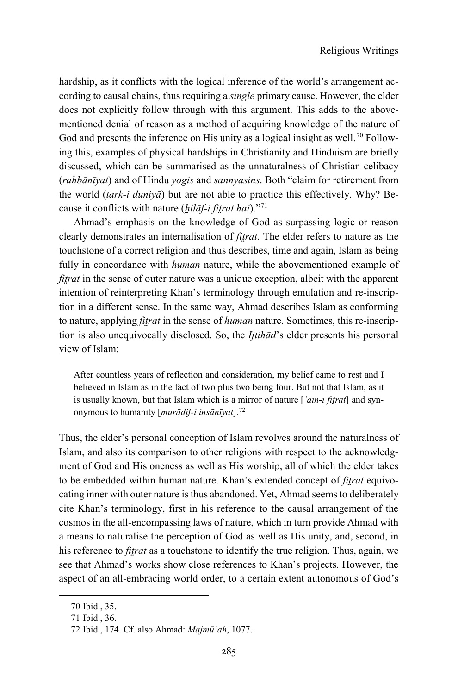hardship, as it conflicts with the logical inference of the world's arrangement according to causal chains, thus requiring a *single* primary cause. However, the elder does not explicitly follow through with this argument. This adds to the abovementioned denial of reason as a method of acquiring knowledge of the nature of God and presents the inference on His unity as a logical insight as well.<sup>[70](#page-22-0)</sup> Following this, examples of physical hardships in Christianity and Hinduism are briefly discussed, which can be summarised as the unnaturalness of Christian celibacy (*rahbānīyat*) and of Hindu *yogis* and *sannyasins*. Both "claim for retirement from the world (*tark-i duniyā*) but are not able to practice this effectively. Why? Because it conflicts with nature (*ẖilāf-i fit̤rat hai*).["71](#page-22-1)

Ahmad's emphasis on the knowledge of God as surpassing logic or reason clearly demonstrates an internalisation of *fit̤rat*. The elder refers to nature as the touchstone of a correct religion and thus describes, time and again, Islam as being fully in concordance with *human* nature, while the abovementioned example of *fitrat* in the sense of outer nature was a unique exception, albeit with the apparent intention of reinterpreting Khan's terminology through emulation and re-inscription in a different sense. In the same way, Ahmad describes Islam as conforming to nature, applying *fit̤rat* in the sense of *human* nature. Sometimes, this re-inscription is also unequivocally disclosed. So, the *Ijtihād*'s elder presents his personal view of Islam:

After countless years of reflection and consideration, my belief came to rest and I believed in Islam as in the fact of two plus two being four. But not that Islam, as it is usually known, but that Islam which is a mirror of nature [*ʿain-i fit̤rat*] and synonymous to humanity [*murādif-i insānīyat*].[72](#page-22-2)

Thus, the elder's personal conception of Islam revolves around the naturalness of Islam, and also its comparison to other religions with respect to the acknowledgment of God and His oneness as well as His worship, all of which the elder takes to be embedded within human nature. Khan's extended concept of *fit̤rat* equivocating inner with outer nature is thus abandoned. Yet, Ahmad seems to deliberately cite Khan's terminology, first in his reference to the causal arrangement of the cosmos in the all-encompassing laws of nature, which in turn provide Ahmad with a means to naturalise the perception of God as well as His unity, and, second, in his reference to *fit̤rat* as a touchstone to identify the true religion. Thus, again, we see that Ahmad's works show close references to Khan's projects. However, the aspect of an all-embracing world order, to a certain extent autonomous of God's

<span id="page-22-0"></span><sup>70</sup> Ibid., 35.

<span id="page-22-1"></span><sup>71</sup> Ibid., 36.

<span id="page-22-2"></span><sup>72</sup> Ibid., 174. Cf. also Ahmad: *Majmūʿah*, 1077.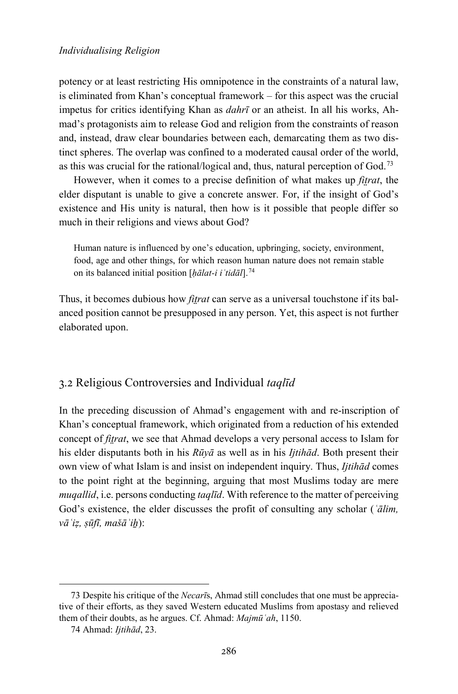potency or at least restricting His omnipotence in the constraints of a natural law, is eliminated from Khan's conceptual framework – for this aspect was the crucial impetus for critics identifying Khan as *dahrī* or an atheist. In all his works, Ahmad's protagonists aim to release God and religion from the constraints of reason and, instead, draw clear boundaries between each, demarcating them as two distinct spheres. The overlap was confined to a moderated causal order of the world, as this was crucial for the rational/logical and, thus, natural perception of God.[73](#page-23-0)

However, when it comes to a precise definition of what makes up *fit̤rat*, the elder disputant is unable to give a concrete answer. For, if the insight of God's existence and His unity is natural, then how is it possible that people differ so much in their religions and views about God?

Human nature is influenced by one's education, upbringing, society, environment, food, age and other things, for which reason human nature does not remain stable on its balanced initial position [*ḥālat-i iʿtidāl*].[74](#page-23-1)

Thus, it becomes dubious how *fitrat* can serve as a universal touchstone if its balanced position cannot be presupposed in any person. Yet, this aspect is not further elaborated upon.

# 3.2 Religious Controversies and Individual *taqlīd*

In the preceding discussion of Ahmad's engagement with and re-inscription of Khan's conceptual framework, which originated from a reduction of his extended concept of *fit̤rat*, we see that Ahmad develops a very personal access to Islam for his elder disputants both in his *Rūyā* as well as in his *Ijtihād*. Both present their own view of what Islam is and insist on independent inquiry. Thus, *Ijtihād* comes to the point right at the beginning, arguing that most Muslims today are mere *muqallid*, i.e. persons conducting *taqlīd*. With reference to the matter of perceiving God's existence, the elder discusses the profit of consulting any scholar (*ʿālim, vāʿiẓ, ṣūfī, mašāʾiẖ*):

<span id="page-23-1"></span><span id="page-23-0"></span><sup>73</sup> Despite his critique of the *Necarī*s, Ahmad still concludes that one must be appreciative of their efforts, as they saved Western educated Muslims from apostasy and relieved them of their doubts, as he argues. Cf. Ahmad: *Majmūʿah*, 1150.

<sup>74</sup> Ahmad: *Ijtihād*, 23.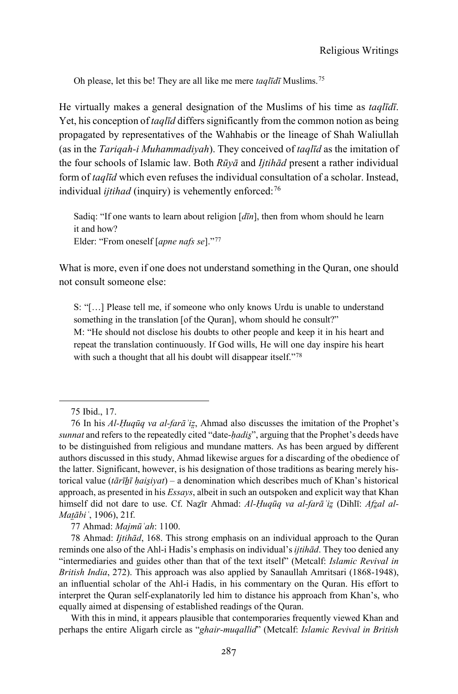Oh please, let this be! They are all like me mere *taqlīdī* Muslims.[75](#page-24-0)

He virtually makes a general designation of the Muslims of his time as *taqlīdī*. Yet, his conception of *taqlīd* differs significantly from the common notion as being propagated by representatives of the Wahhabis or the lineage of Shah Waliullah (as in the *Tariqah-i Muhammadiyah*). They conceived of *taqlīd* as the imitation of the four schools of Islamic law. Both *Rūyā* and *Ijtihād* present a rather individual form of *taqlīd* which even refuses the individual consultation of a scholar. Instead, individual *ijtihad* (inquiry) is vehemently enforced:<sup>[76](#page-24-1)</sup>

Sadiq: "If one wants to learn about religion [*dīn*], then from whom should he learn it and how? Elder: "From oneself [*apne nafs se*]."[77](#page-24-2)

What is more, even if one does not understand something in the Quran, one should not consult someone else:

S: "[…] Please tell me, if someone who only knows Urdu is unable to understand something in the translation [of the Quran], whom should he consult?" M: "He should not disclose his doubts to other people and keep it in his heart and repeat the translation continuously. If God wills, He will one day inspire his heart with such a thought that all his doubt will disappear itself."<sup>[78](#page-24-3)</sup>

-

77 Ahmad: *Majmūʿah*: 1100.

With this in mind, it appears plausible that contemporaries frequently viewed Khan and perhaps the entire Aligarh circle as "*ghair-muqallid*" (Metcalf: *Islamic Revival in British* 

<sup>75</sup> Ibid., 17.

<span id="page-24-1"></span><span id="page-24-0"></span><sup>76</sup> In his *Al-Ḥuqūq va al-farāʾiz̤*, Ahmad also discusses the imitation of the Prophet's *sunnat* and refers to the repeatedly cited "date-*ḥadis̱*", arguing that the Prophet's deeds have to be distinguished from religious and mundane matters. As has been argued by different authors discussed in this study, Ahmad likewise argues for a discarding of the obedience of the latter. Significant, however, is his designation of those traditions as bearing merely historical value (*tārīẖī ḥais̱iyat*) – a denomination which describes much of Khan's historical approach, as presented in his *Essays*, albeit in such an outspoken and explicit way that Khan himself did not dare to use. Cf. Nazīr Ahmad: *Al-Ḥuqūq va al-farā* 'iz (Dihlī: *Afzal al-Mat̤ābiʿ*, 1906), 21f.

<span id="page-24-3"></span><span id="page-24-2"></span><sup>78</sup> Ahmad: *Ijtihād*, 168. This strong emphasis on an individual approach to the Quran reminds one also of the Ahl-i Hadis's emphasis on individual's *ijtihād*. They too denied any "intermediaries and guides other than that of the text itself" (Metcalf: *Islamic Revival in British India*, 272). This approach was also applied by Sanaullah Amritsari (1868-1948), an influential scholar of the Ahl-i Hadis, in his commentary on the Quran. His effort to interpret the Quran self-explanatorily led him to distance his approach from Khan's, who equally aimed at dispensing of established readings of the Quran.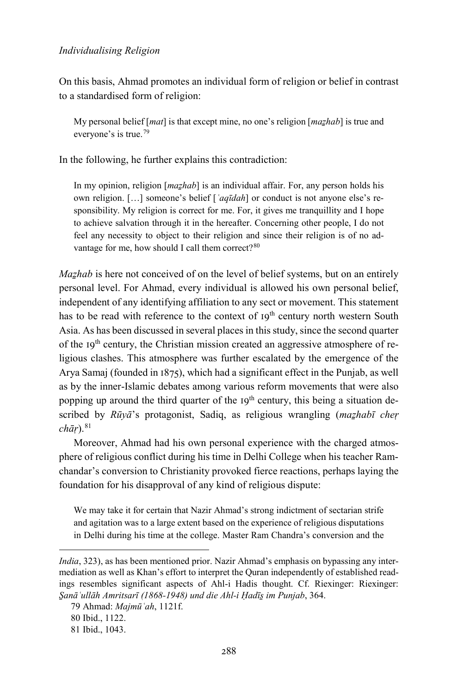On this basis, Ahmad promotes an individual form of religion or belief in contrast to a standardised form of religion:

My personal belief [*mat*] is that except mine, no one's religion [*maẕhab*] is true and everyone's is true.[79](#page-25-0)

In the following, he further explains this contradiction:

In my opinion, religion [*mazhab*] is an individual affair. For, any person holds his own religion. […] someone's belief [*ʿaqīdah*] or conduct is not anyone else's responsibility. My religion is correct for me. For, it gives me tranquillity and I hope to achieve salvation through it in the hereafter. Concerning other people, I do not feel any necessity to object to their religion and since their religion is of no ad-vantage for me, how should I call them correct?<sup>[80](#page-25-1)</sup>

*Mazhab* is here not conceived of on the level of belief systems, but on an entirely personal level. For Ahmad, every individual is allowed his own personal belief, independent of any identifying affiliation to any sect or movement. This statement has to be read with reference to the context of  $I9<sup>th</sup>$  century north western South Asia. As has been discussed in several places in this study, since the second quarter of the 19th century, the Christian mission created an aggressive atmosphere of religious clashes. This atmosphere was further escalated by the emergence of the Arya Samaj (founded in 1875), which had a significant effect in the Punjab, as well as by the inner-Islamic debates among various reform movements that were also popping up around the third quarter of the  $19<sup>th</sup>$  century, this being a situation described by *Rūyā*'s protagonist, Sadiq, as religious wrangling (*maẕhabī cheṛ chāṛ*).[81](#page-25-2)

Moreover, Ahmad had his own personal experience with the charged atmosphere of religious conflict during his time in Delhi College when his teacher Ramchandar's conversion to Christianity provoked fierce reactions, perhaps laying the foundation for his disapproval of any kind of religious dispute:

We may take it for certain that Nazir Ahmad's strong indictment of sectarian strife and agitation was to a large extent based on the experience of religious disputations in Delhi during his time at the college. Master Ram Chandra's conversion and the

*India*, 323), as has been mentioned prior. Nazir Ahmad's emphasis on bypassing any intermediation as well as Khan's effort to interpret the Quran independently of established readings resembles significant aspects of Ahl-i Hadis thought. Cf. Riexinger: Riexinger: *S̱anāʿullāh Amritsarī (1868-1948) und die Ahl-i Ḥadīs̱ im Punjab*, 364.

<span id="page-25-0"></span><sup>79</sup> Ahmad: *Majmūʿah*, 1121f.

<span id="page-25-1"></span><sup>80</sup> Ibid., 1122.

<span id="page-25-2"></span><sup>81</sup> Ibid., 1043.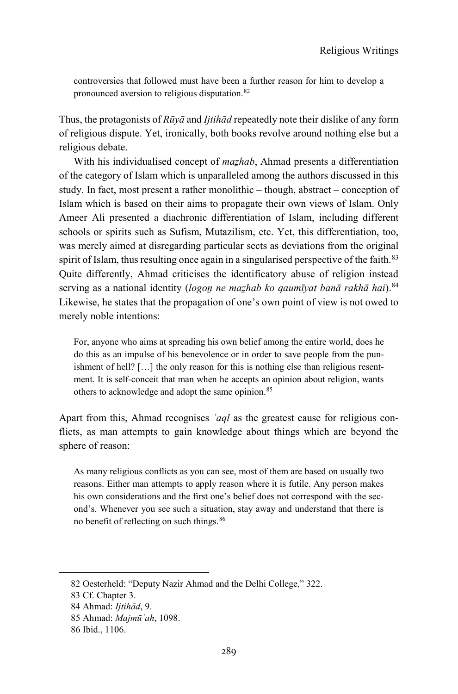controversies that followed must have been a further reason for him to develop a pronounced aversion to religious disputation.[82](#page-26-0)

Thus, the protagonists of *Rūyā* and *Ijtihād* repeatedly note their dislike of any form of religious dispute. Yet, ironically, both books revolve around nothing else but a religious debate.

With his individualised concept of *mazhab*, Ahmad presents a differentiation of the category of Islam which is unparalleled among the authors discussed in this study. In fact, most present a rather monolithic – though, abstract – conception of Islam which is based on their aims to propagate their own views of Islam. Only Ameer Ali presented a diachronic differentiation of Islam, including different schools or spirits such as Sufism, Mutazilism, etc. Yet, this differentiation, too, was merely aimed at disregarding particular sects as deviations from the original spirit of Islam, thus resulting once again in a singularised perspective of the faith.<sup>[83](#page-26-1)</sup> Quite differently, Ahmad criticises the identificatory abuse of religion instead serving as a national identity (*logoṉ ne maẕhab ko qaumīyat banā rakhā hai*).[84](#page-26-2) Likewise, he states that the propagation of one's own point of view is not owed to merely noble intentions:

For, anyone who aims at spreading his own belief among the entire world, does he do this as an impulse of his benevolence or in order to save people from the punishment of hell? […] the only reason for this is nothing else than religious resentment. It is self-conceit that man when he accepts an opinion about religion, wants others to acknowledge and adopt the same opinion.<sup>[85](#page-26-3)</sup>

Apart from this, Ahmad recognises *ʿaql* as the greatest cause for religious conflicts, as man attempts to gain knowledge about things which are beyond the sphere of reason:

As many religious conflicts as you can see, most of them are based on usually two reasons. Either man attempts to apply reason where it is futile. Any person makes his own considerations and the first one's belief does not correspond with the second's. Whenever you see such a situation, stay away and understand that there is no benefit of reflecting on such things.[86](#page-26-4)

<span id="page-26-0"></span><sup>82</sup> Oesterheld: "Deputy Nazir Ahmad and the Delhi College," 322.

<span id="page-26-1"></span><sup>83</sup> Cf. Chapter 3.

<span id="page-26-2"></span><sup>84</sup> Ahmad: *Ijtihād*, 9.

<span id="page-26-3"></span><sup>85</sup> Ahmad: *Majmūʿah*, 1098.

<span id="page-26-4"></span><sup>86</sup> Ibid., 1106.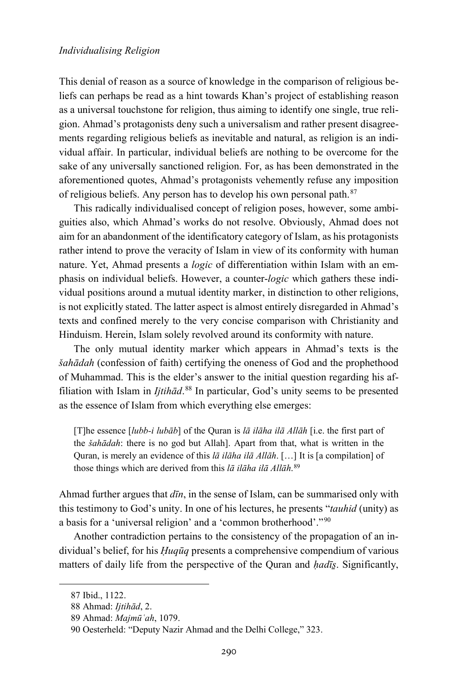This denial of reason as a source of knowledge in the comparison of religious beliefs can perhaps be read as a hint towards Khan's project of establishing reason as a universal touchstone for religion, thus aiming to identify one single, true religion. Ahmad's protagonists deny such a universalism and rather present disagreements regarding religious beliefs as inevitable and natural, as religion is an individual affair. In particular, individual beliefs are nothing to be overcome for the sake of any universally sanctioned religion. For, as has been demonstrated in the aforementioned quotes, Ahmad's protagonists vehemently refuse any imposition of religious beliefs. Any person has to develop his own personal path.[87](#page-27-0)

This radically individualised concept of religion poses, however, some ambiguities also, which Ahmad's works do not resolve. Obviously, Ahmad does not aim for an abandonment of the identificatory category of Islam, as his protagonists rather intend to prove the veracity of Islam in view of its conformity with human nature. Yet, Ahmad presents a *logic* of differentiation within Islam with an emphasis on individual beliefs. However, a counter-*logic* which gathers these individual positions around a mutual identity marker, in distinction to other religions, is not explicitly stated. The latter aspect is almost entirely disregarded in Ahmad's texts and confined merely to the very concise comparison with Christianity and Hinduism. Herein, Islam solely revolved around its conformity with nature.

The only mutual identity marker which appears in Ahmad's texts is the *šahādah* (confession of faith) certifying the oneness of God and the prophethood of Muhammad. This is the elder's answer to the initial question regarding his affiliation with Islam in *Ijtihād*. [88](#page-27-1) In particular, God's unity seems to be presented as the essence of Islam from which everything else emerges:

[T]he essence [*lubb-i lubāb*] of the Quran is *lā ilāha ilā Allāh* [i.e. the first part of the *šahādah*: there is no god but Allah]. Apart from that, what is written in the Quran, is merely an evidence of this *lā ilāha ilā Allāh*. […] It is [a compilation] of those things which are derived from this *lā ilāha ilā Allāh*. [89](#page-27-2)

Ahmad further argues that *dīn*, in the sense of Islam, can be summarised only with this testimony to God's unity. In one of his lectures, he presents "*tauhid* (unity) as a basis for a 'universal religion' and a 'common brotherhood'."[90](#page-27-3)

Another contradiction pertains to the consistency of the propagation of an individual's belief, for his *Ḥuqūq* presents a comprehensive compendium of various matters of daily life from the perspective of the Quran and *ḥadīs̱*. Significantly,

<span id="page-27-0"></span><sup>87</sup> Ibid., 1122.

<span id="page-27-1"></span><sup>88</sup> Ahmad: *Ijtihād*, 2.

<span id="page-27-2"></span><sup>89</sup> Ahmad: *Majmūʿah*, 1079.

<span id="page-27-3"></span><sup>90</sup> Oesterheld: "Deputy Nazir Ahmad and the Delhi College," 323.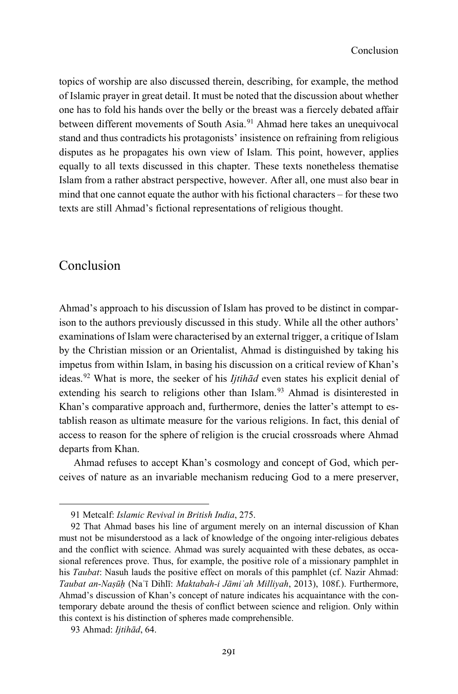topics of worship are also discussed therein, describing, for example, the method of Islamic prayer in great detail. It must be noted that the discussion about whether one has to fold his hands over the belly or the breast was a fiercely debated affair between different movements of South Asia.<sup>[91](#page-28-0)</sup> Ahmad here takes an unequivocal stand and thus contradicts his protagonists' insistence on refraining from religious disputes as he propagates his own view of Islam. This point, however, applies equally to all texts discussed in this chapter. These texts nonetheless thematise Islam from a rather abstract perspective, however. After all, one must also bear in mind that one cannot equate the author with his fictional characters – for these two texts are still Ahmad's fictional representations of religious thought.

# Conclusion

-

Ahmad's approach to his discussion of Islam has proved to be distinct in comparison to the authors previously discussed in this study. While all the other authors' examinations of Islam were characterised by an external trigger, a critique of Islam by the Christian mission or an Orientalist, Ahmad is distinguished by taking his impetus from within Islam, in basing his discussion on a critical review of Khan's ideas.[92](#page-28-1) What is more, the seeker of his *Ijtihād* even states his explicit denial of extending his search to religions other than Islam.<sup>[93](#page-28-2)</sup> Ahmad is disinterested in Khan's comparative approach and, furthermore, denies the latter's attempt to establish reason as ultimate measure for the various religions. In fact, this denial of access to reason for the sphere of religion is the crucial crossroads where Ahmad departs from Khan.

Ahmad refuses to accept Khan's cosmology and concept of God, which perceives of nature as an invariable mechanism reducing God to a mere preserver,

<sup>91</sup> Metcalf: *Islamic Revival in British India*, 275.

<span id="page-28-1"></span><span id="page-28-0"></span><sup>92</sup> That Ahmad bases his line of argument merely on an internal discussion of Khan must not be misunderstood as a lack of knowledge of the ongoing inter-religious debates and the conflict with science. Ahmad was surely acquainted with these debates, as occasional references prove. Thus, for example, the positive role of a missionary pamphlet in his *Taubat*: Nasuh lauds the positive effect on morals of this pamphlet (cf. Nazir Ahmad: *Taubat an-Naṣūḥ* (Naʾī Dihlī: *Maktabah-i Jāmiʿah Milliyah*, 2013), 108f.). Furthermore, Ahmad's discussion of Khan's concept of nature indicates his acquaintance with the contemporary debate around the thesis of conflict between science and religion. Only within this context is his distinction of spheres made comprehensible.

<span id="page-28-2"></span><sup>93</sup> Ahmad: *Ijtihād*, 64.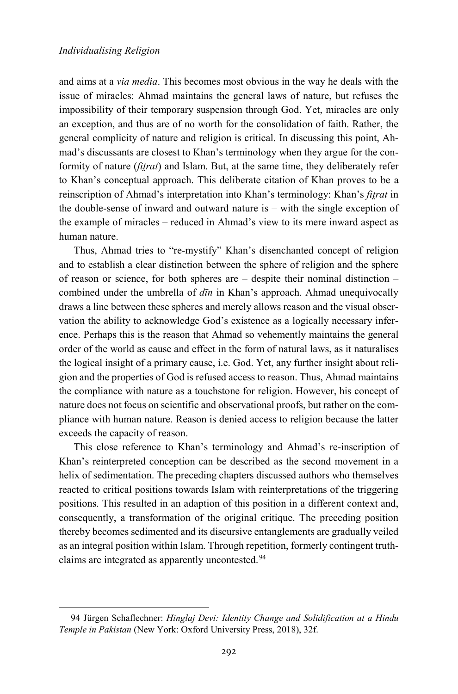1

and aims at a *via media*. This becomes most obvious in the way he deals with the issue of miracles: Ahmad maintains the general laws of nature, but refuses the impossibility of their temporary suspension through God. Yet, miracles are only an exception, and thus are of no worth for the consolidation of faith. Rather, the general complicity of nature and religion is critical. In discussing this point, Ahmad's discussants are closest to Khan's terminology when they argue for the conformity of nature (*fit̤rat*) and Islam. But, at the same time, they deliberately refer to Khan's conceptual approach. This deliberate citation of Khan proves to be a reinscription of Ahmad's interpretation into Khan's terminology: Khan's *fit̤rat* in the double-sense of inward and outward nature is – with the single exception of the example of miracles – reduced in Ahmad's view to its mere inward aspect as human nature.

Thus, Ahmad tries to "re-mystify" Khan's disenchanted concept of religion and to establish a clear distinction between the sphere of religion and the sphere of reason or science, for both spheres are – despite their nominal distinction – combined under the umbrella of *dīn* in Khan's approach. Ahmad unequivocally draws a line between these spheres and merely allows reason and the visual observation the ability to acknowledge God's existence as a logically necessary inference. Perhaps this is the reason that Ahmad so vehemently maintains the general order of the world as cause and effect in the form of natural laws, as it naturalises the logical insight of a primary cause, i.e. God. Yet, any further insight about religion and the properties of God is refused access to reason. Thus, Ahmad maintains the compliance with nature as a touchstone for religion. However, his concept of nature does not focus on scientific and observational proofs, but rather on the compliance with human nature. Reason is denied access to religion because the latter exceeds the capacity of reason.

This close reference to Khan's terminology and Ahmad's re-inscription of Khan's reinterpreted conception can be described as the second movement in a helix of sedimentation. The preceding chapters discussed authors who themselves reacted to critical positions towards Islam with reinterpretations of the triggering positions. This resulted in an adaption of this position in a different context and, consequently, a transformation of the original critique. The preceding position thereby becomes sedimented and its discursive entanglements are gradually veiled as an integral position within Islam. Through repetition, formerly contingent truth-claims are integrated as apparently uncontested.<sup>[94](#page-29-0)</sup>

<span id="page-29-0"></span><sup>94</sup> Jürgen Schaflechner: *Hinglaj Devi: Identity Change and Solidification at a Hindu Temple in Pakistan* (New York: Oxford University Press, 2018), 32f.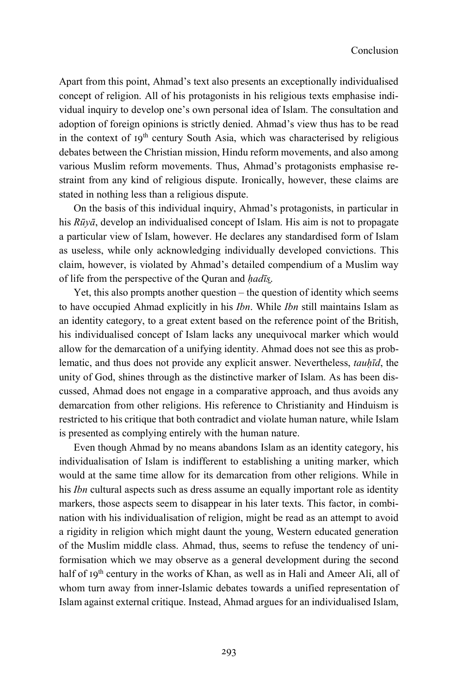Apart from this point, Ahmad's text also presents an exceptionally individualised concept of religion. All of his protagonists in his religious texts emphasise individual inquiry to develop one's own personal idea of Islam. The consultation and adoption of foreign opinions is strictly denied. Ahmad's view thus has to be read in the context of  $I9<sup>th</sup>$  century South Asia, which was characterised by religious debates between the Christian mission, Hindu reform movements, and also among various Muslim reform movements. Thus, Ahmad's protagonists emphasise restraint from any kind of religious dispute. Ironically, however, these claims are stated in nothing less than a religious dispute.

On the basis of this individual inquiry, Ahmad's protagonists, in particular in his *Rūyā*, develop an individualised concept of Islam. His aim is not to propagate a particular view of Islam, however. He declares any standardised form of Islam as useless, while only acknowledging individually developed convictions. This claim, however, is violated by Ahmad's detailed compendium of a Muslim way of life from the perspective of the Quran and *ḥadīs̱*.

Yet, this also prompts another question – the question of identity which seems to have occupied Ahmad explicitly in his *Ibn*. While *Ibn* still maintains Islam as an identity category, to a great extent based on the reference point of the British, his individualised concept of Islam lacks any unequivocal marker which would allow for the demarcation of a unifying identity. Ahmad does not see this as problematic, and thus does not provide any explicit answer. Nevertheless, *tauḥīd*, the unity of God, shines through as the distinctive marker of Islam. As has been discussed, Ahmad does not engage in a comparative approach, and thus avoids any demarcation from other religions. His reference to Christianity and Hinduism is restricted to his critique that both contradict and violate human nature, while Islam is presented as complying entirely with the human nature.

Even though Ahmad by no means abandons Islam as an identity category, his individualisation of Islam is indifferent to establishing a uniting marker, which would at the same time allow for its demarcation from other religions. While in his *Ibn* cultural aspects such as dress assume an equally important role as identity markers, those aspects seem to disappear in his later texts. This factor, in combination with his individualisation of religion, might be read as an attempt to avoid a rigidity in religion which might daunt the young, Western educated generation of the Muslim middle class. Ahmad, thus, seems to refuse the tendency of uniformisation which we may observe as a general development during the second half of 19<sup>th</sup> century in the works of Khan, as well as in Hali and Ameer Ali, all of whom turn away from inner-Islamic debates towards a unified representation of Islam against external critique. Instead, Ahmad argues for an individualised Islam,